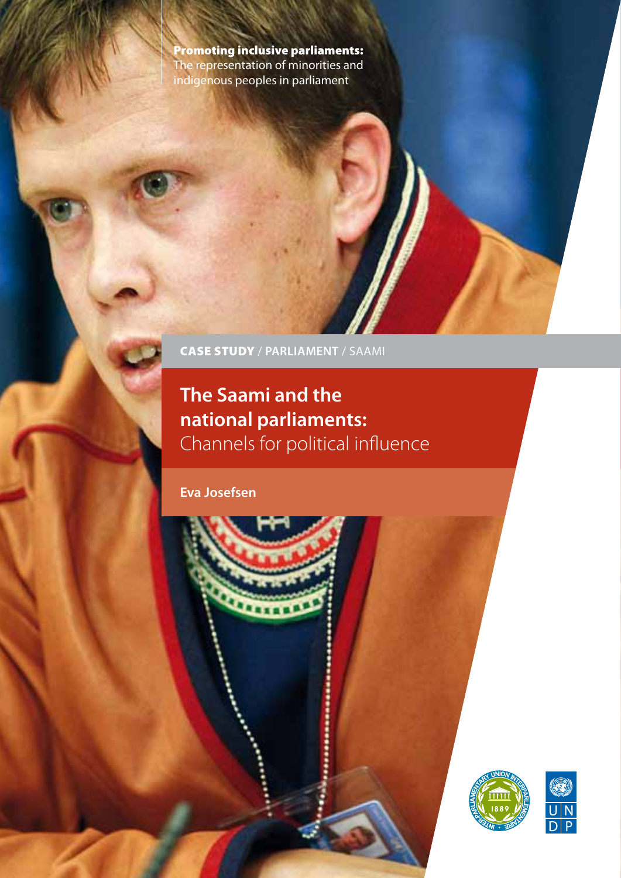Promoting inclusive parliaments: The representation of minorities and indigenous peoples in parliament

CASE STUDY / **PARLIAMENT** / SAAMI

.....

# **The Saami and the national parliaments:**  Channels for political influence

**Eva Josefsen** 



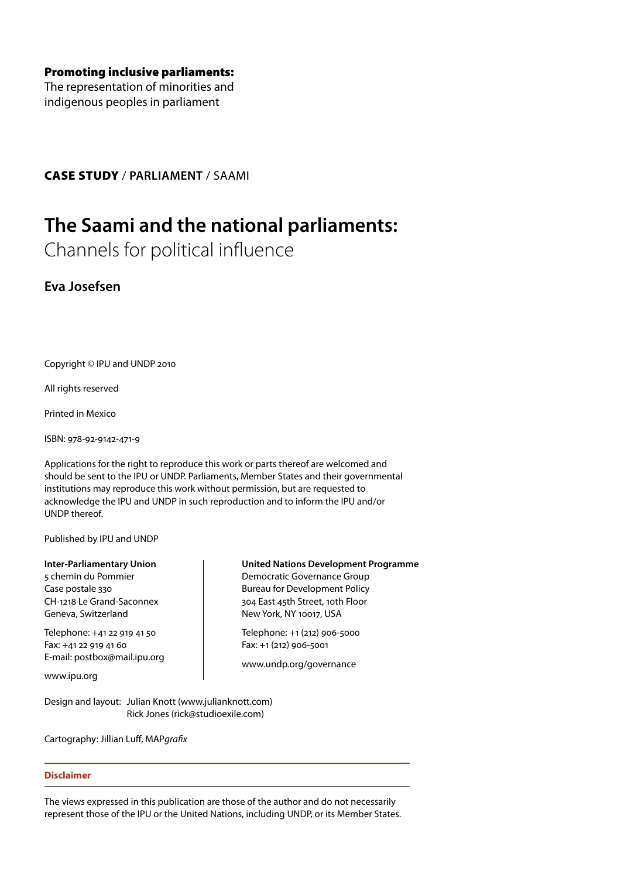Promoting inclusive parliaments:

The representation of minorities and indigenous peoples in parliament

CASE STUDY / **PARLIAMENT** / SAAMI

# **The Saami and the national parliaments:**

Channels for political influence

**Eva Josefsen**

Copyright © IPU and UNDP 2010

All rights reserved

Printed in Mexico

ISBN: 978-92-9142-471-9

Applications for the right to reproduce this work or parts thereof are welcomed and should be sent to the IPU or UNDP. Parliaments, Member States and their governmental institutions may reproduce this work without permission, but are requested to acknowledge the IPU and UNDP in such reproduction and to inform the IPU and/or UNDP thereof.

Published by IPU and UNDP

**Inter-Parliamentary Union**

5 chemin du Pommier Case postale 330 CH-1218 Le Grand-Saconnex Geneva, Switzerland

Telephone: +41 22 919 41 50 Fax: +41 22 919 41 60 E-mail: postbox@mail.ipu.org

www.ipu.org

Design and layout: Julian Knott (www.julianknott.com) Rick Jones (rick@studioexile.com)

Cartography: Jillian Luff, MAP*grafix*

### **Disclaimer**

The views expressed in this publication are those of the author and do not necessarily represent those of the IPU or the United Nations, including UNDP, or its Member States.

### **United Nations Development Programme**

Democratic Governance Group Bureau for Development Policy 304 East 45th Street, 10th Floor New York, NY 10017, USA

Telephone: +1 (212) 906-5000 Fax: +1 (212) 906-5001

www.undp.org/governance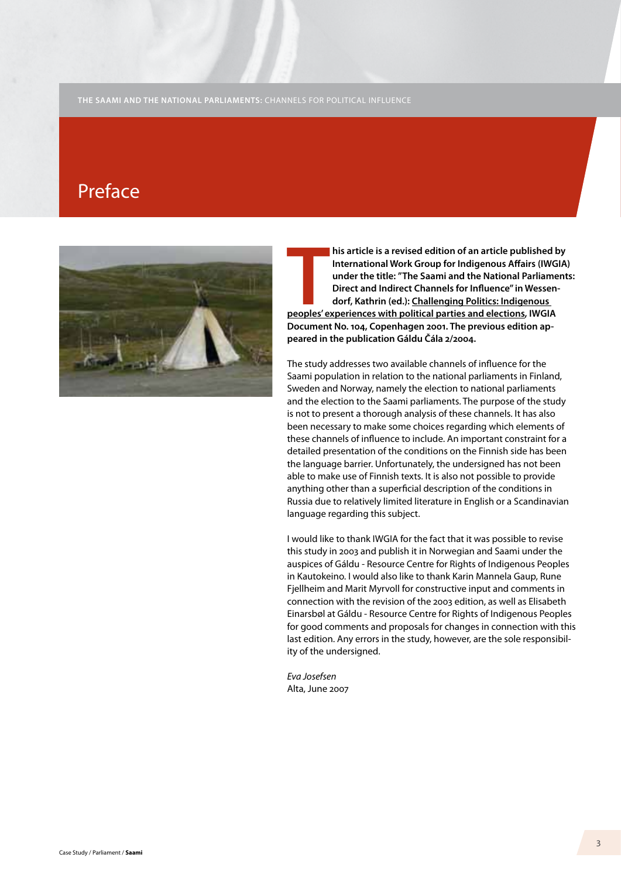# Preface



**THE SERVIGE SERVIGE SERVIGE SERVIGE SERVIGE SERVIGE SERVIGE SERVIGE SERVIGE SERVIGE SERVIGE SERVIGE SPECIES AND DEPERTURBATE DEVISED do the National Parliame Direct and Indirect Channels for Influence" in Wessen dorf, Kat his article is a revised edition of an article published by International Work Group for Indigenous Affairs (IWGIA) under the title: "The Saami and the National Parliaments: Direct and Indirect Channels for Influence" in Wessendorf, Kathrin (ed.): Challenging Politics: Indigenous Document No. 104, Copenhagen 2001. The previous edition appeared in the publication Gáldu Čála 2/2004.** 

The study addresses two available channels of influence for the Saami population in relation to the national parliaments in Finland, Sweden and Norway, namely the election to national parliaments and the election to the Saami parliaments. The purpose of the study is not to present a thorough analysis of these channels. It has also been necessary to make some choices regarding which elements of these channels of influence to include. An important constraint for a detailed presentation of the conditions on the Finnish side has been the language barrier. Unfortunately, the undersigned has not been able to make use of Finnish texts. It is also not possible to provide anything other than a superficial description of the conditions in Russia due to relatively limited literature in English or a Scandinavian language regarding this subject.

I would like to thank IWGIA for the fact that it was possible to revise this study in 2003 and publish it in Norwegian and Saami under the auspices of Gáldu - Resource Centre for Rights of Indigenous Peoples in Kautokeino. I would also like to thank Karin Mannela Gaup, Rune Fjellheim and Marit Myrvoll for constructive input and comments in connection with the revision of the 2003 edition, as well as Elisabeth Einarsbøl at Gáldu - Resource Centre for Rights of Indigenous Peoples for good comments and proposals for changes in connection with this last edition. Any errors in the study, however, are the sole responsibility of the undersigned.

*Eva Josefsen*  Alta, June 2007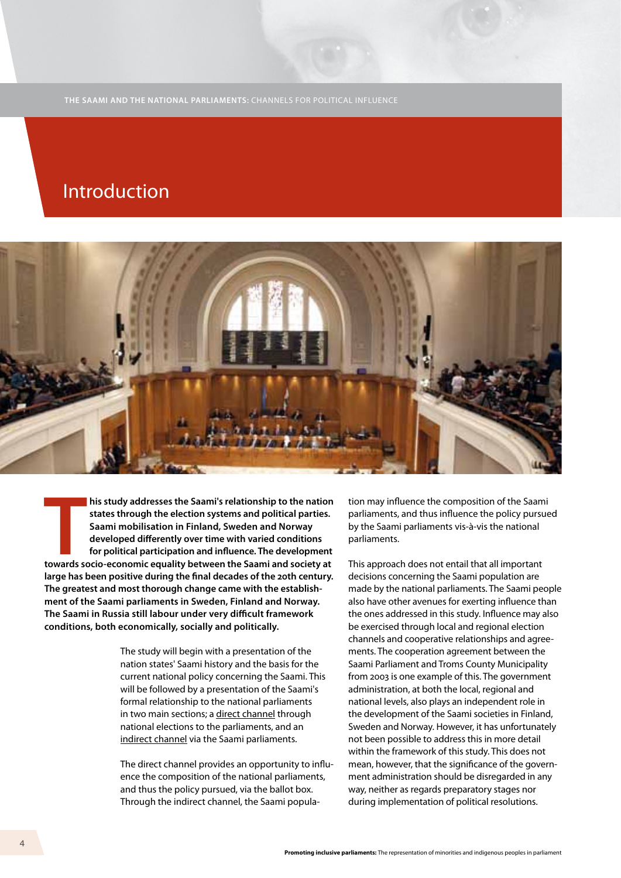# Introduction



**Thus is to above the Saami's relationship to the nation**<br>states through the election systems and political parties.<br>Saami mobilisation in Finland, Sweden and Norway<br>developed differently over time with varied conditions<br>f **his study addresses the Saami's relationship to the nation states through the election systems and political parties. Saami mobilisation in Finland, Sweden and Norway developed differently over time with varied conditions for political participation and influence. The development large has been positive during the final decades of the 20th century. The greatest and most thorough change came with the establishment of the Saami parliaments in Sweden, Finland and Norway. The Saami in Russia still labour under very difficult framework conditions, both economically, socially and politically.** 

> The study will begin with a presentation of the nation states' Saami history and the basis for the current national policy concerning the Saami. This will be followed by a presentation of the Saami's formal relationship to the national parliaments in two main sections; a direct channel through national elections to the parliaments, and an indirect channel via the Saami parliaments.

The direct channel provides an opportunity to influence the composition of the national parliaments, and thus the policy pursued, via the ballot box. Through the indirect channel, the Saami population may influence the composition of the Saami parliaments, and thus influence the policy pursued by the Saami parliaments vis-à-vis the national parliaments.

This approach does not entail that all important decisions concerning the Saami population are made by the national parliaments. The Saami people also have other avenues for exerting influence than the ones addressed in this study. Influence may also be exercised through local and regional election channels and cooperative relationships and agreements. The cooperation agreement between the Saami Parliament and Troms County Municipality from 2003 is one example of this. The government administration, at both the local, regional and national levels, also plays an independent role in the development of the Saami societies in Finland, Sweden and Norway. However, it has unfortunately not been possible to address this in more detail within the framework of this study. This does not mean, however, that the significance of the government administration should be disregarded in any way, neither as regards preparatory stages nor during implementation of political resolutions.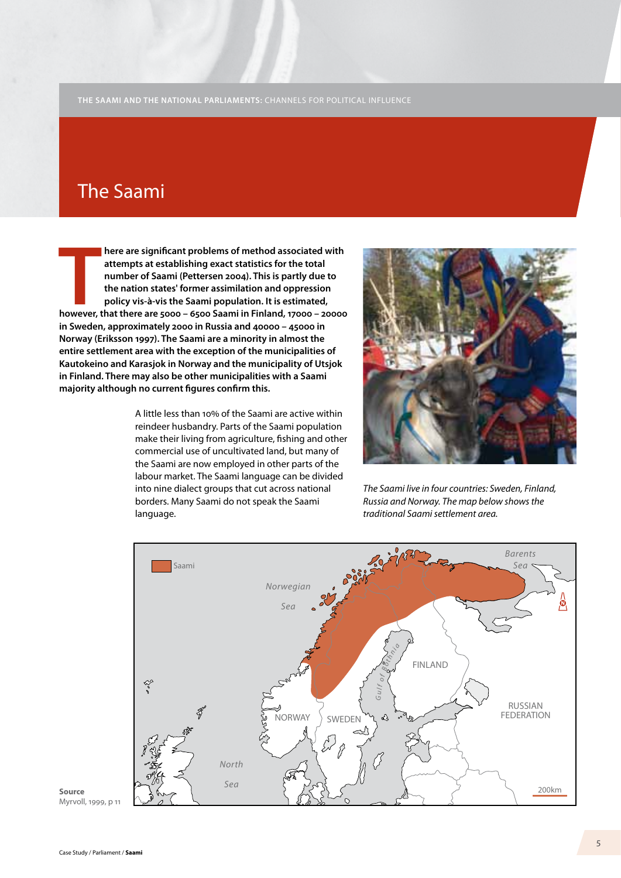### The Saami

**T however, that there are 5000 – 6500 Saami in Finland, 17000 – 20000 here are significant problems of method associated with attempts at establishing exact statistics for the total number of Saami (Pettersen 2004). This is partly due to the nation states' former assimilation and oppression policy vis-à-vis the Saami population. It is estimated, in Sweden, approximately 2000 in Russia and 40000 – 45000 in Norway (Eriksson 1997). The Saami are a minority in almost the entire settlement area with the exception of the municipalities of Kautokeino and Karasjok in Norway and the municipality of Utsjok in Finland. There may also be other municipalities with a Saami majority although no current figures confirm this.** 

> A little less than 10% of the Saami are active within reindeer husbandry. Parts of the Saami population make their living from agriculture, fishing and other commercial use of uncultivated land, but many of the Saami are now employed in other parts of the labour market. The Saami language can be divided into nine dialect groups that cut across national borders. Many Saami do not speak the Saami language.



*The Saami live in four countries: Sweden, Finland, Russia and Norway. The map below shows the traditional Saami settlement area.*



**Source** Myrvoll, 1999, p 11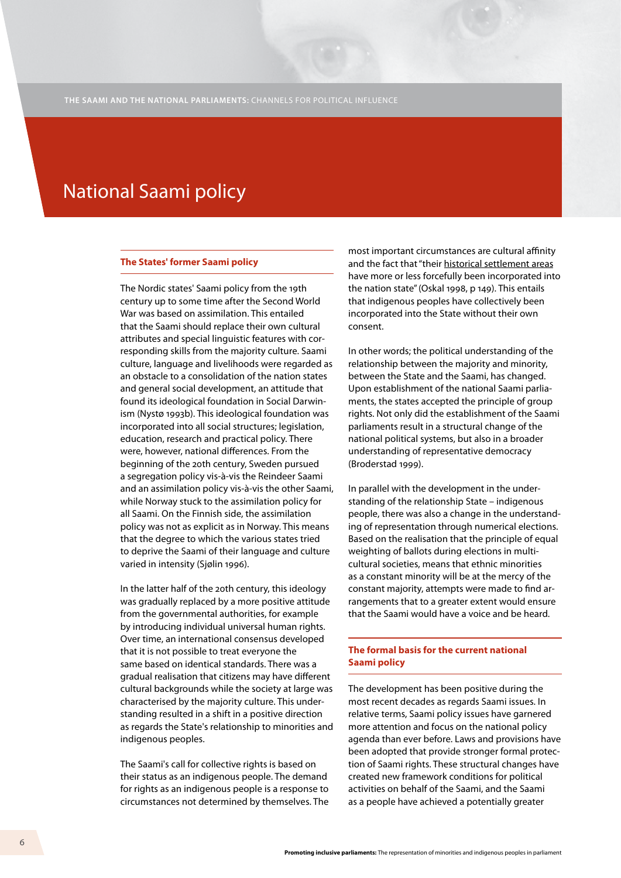# National Saami policy

#### **The States' former Saami policy**

The Nordic states' Saami policy from the 19th century up to some time after the Second World War was based on assimilation. This entailed that the Saami should replace their own cultural attributes and special linguistic features with corresponding skills from the majority culture. Saami culture, language and livelihoods were regarded as an obstacle to a consolidation of the nation states and general social development, an attitude that found its ideological foundation in Social Darwinism (Nystø 1993b). This ideological foundation was incorporated into all social structures; legislation, education, research and practical policy. There were, however, national differences. From the beginning of the 20th century, Sweden pursued a segregation policy vis-à-vis the Reindeer Saami and an assimilation policy vis-à-vis the other Saami, while Norway stuck to the assimilation policy for all Saami. On the Finnish side, the assimilation policy was not as explicit as in Norway. This means that the degree to which the various states tried to deprive the Saami of their language and culture varied in intensity (Sjølin 1996).

In the latter half of the 20th century, this ideology was gradually replaced by a more positive attitude from the governmental authorities, for example by introducing individual universal human rights. Over time, an international consensus developed that it is not possible to treat everyone the same based on identical standards. There was a gradual realisation that citizens may have different cultural backgrounds while the society at large was characterised by the majority culture. This understanding resulted in a shift in a positive direction as regards the State's relationship to minorities and indigenous peoples.

The Saami's call for collective rights is based on their status as an indigenous people. The demand for rights as an indigenous people is a response to circumstances not determined by themselves. The most important circumstances are cultural affinity and the fact that "their historical settlement areas have more or less forcefully been incorporated into the nation state" (Oskal 1998, p 149). This entails that indigenous peoples have collectively been incorporated into the State without their own consent.

In other words; the political understanding of the relationship between the majority and minority, between the State and the Saami, has changed. Upon establishment of the national Saami parliaments, the states accepted the principle of group rights. Not only did the establishment of the Saami parliaments result in a structural change of the national political systems, but also in a broader understanding of representative democracy (Broderstad 1999).

In parallel with the development in the understanding of the relationship State – indigenous people, there was also a change in the understanding of representation through numerical elections. Based on the realisation that the principle of equal weighting of ballots during elections in multicultural societies, means that ethnic minorities as a constant minority will be at the mercy of the constant majority, attempts were made to find arrangements that to a greater extent would ensure that the Saami would have a voice and be heard.

### **The formal basis for the current national Saami policy**

The development has been positive during the most recent decades as regards Saami issues. In relative terms, Saami policy issues have garnered more attention and focus on the national policy agenda than ever before. Laws and provisions have been adopted that provide stronger formal protection of Saami rights. These structural changes have created new framework conditions for political activities on behalf of the Saami, and the Saami as a people have achieved a potentially greater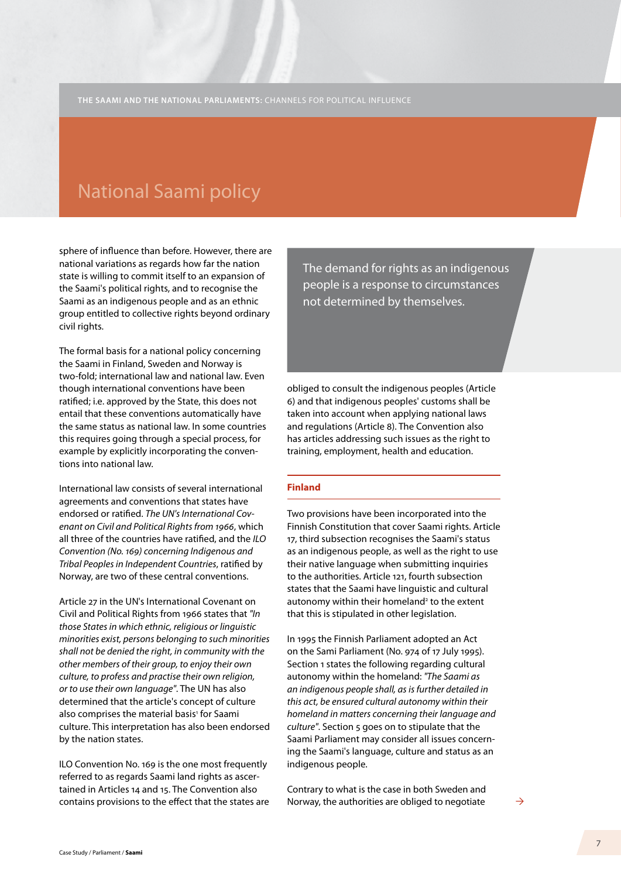## National Saami policy

sphere of influence than before. However, there are national variations as regards how far the nation state is willing to commit itself to an expansion of the Saami's political rights, and to recognise the Saami as an indigenous people and as an ethnic group entitled to collective rights beyond ordinary civil rights.

The formal basis for a national policy concerning the Saami in Finland, Sweden and Norway is two-fold; international law and national law. Even though international conventions have been ratified; i.e. approved by the State, this does not entail that these conventions automatically have the same status as national law. In some countries this requires going through a special process, for example by explicitly incorporating the conventions into national law.

International law consists of several international agreements and conventions that states have endorsed or ratified. *The UN's International Covenant on Civil and Political Rights from 1966*, which all three of the countries have ratified, and the *ILO Convention (No. 169) concerning Indigenous and Tribal Peoples in Independent Countries*, ratified by Norway, are two of these central conventions.

Article 27 in the UN's International Covenant on Civil and Political Rights from 1966 states that *"In those States in which ethnic, religious or linguistic minorities exist, persons belonging to such minorities shall not be denied the right, in community with the other members of their group, to enjoy their own culture, to profess and practise their own religion, or to use their own language"*. The UN has also determined that the article's concept of culture also comprises the material basis<sup>1</sup> for Saami culture. This interpretation has also been endorsed by the nation states.

ILO Convention No. 169 is the one most frequently referred to as regards Saami land rights as ascertained in Articles 14 and 15. The Convention also contains provisions to the effect that the states are The demand for rights as an indigenous people is a response to circumstances not determined by themselves.

obliged to consult the indigenous peoples (Article 6) and that indigenous peoples' customs shall be taken into account when applying national laws and regulations (Article 8). The Convention also has articles addressing such issues as the right to training, employment, health and education.

### **Finland**

Two provisions have been incorporated into the Finnish Constitution that cover Saami rights. Article 17, third subsection recognises the Saami's status as an indigenous people, as well as the right to use their native language when submitting inquiries to the authorities. Article 121, fourth subsection states that the Saami have linguistic and cultural autonomy within their homeland<sup>2</sup> to the extent that this is stipulated in other legislation.

In 1995 the Finnish Parliament adopted an Act on the Sami Parliament (No. 974 of 17 July 1995). Section 1 states the following regarding cultural autonomy within the homeland: *"The Saami as an indigenous people shall, as is further detailed in this act, be ensured cultural autonomy within their homeland in matters concerning their language and culture"*. Section 5 goes on to stipulate that the Saami Parliament may consider all issues concerning the Saami's language, culture and status as an indigenous people.

Contrary to what is the case in both Sweden and Norway, the authorities are obliged to negotiate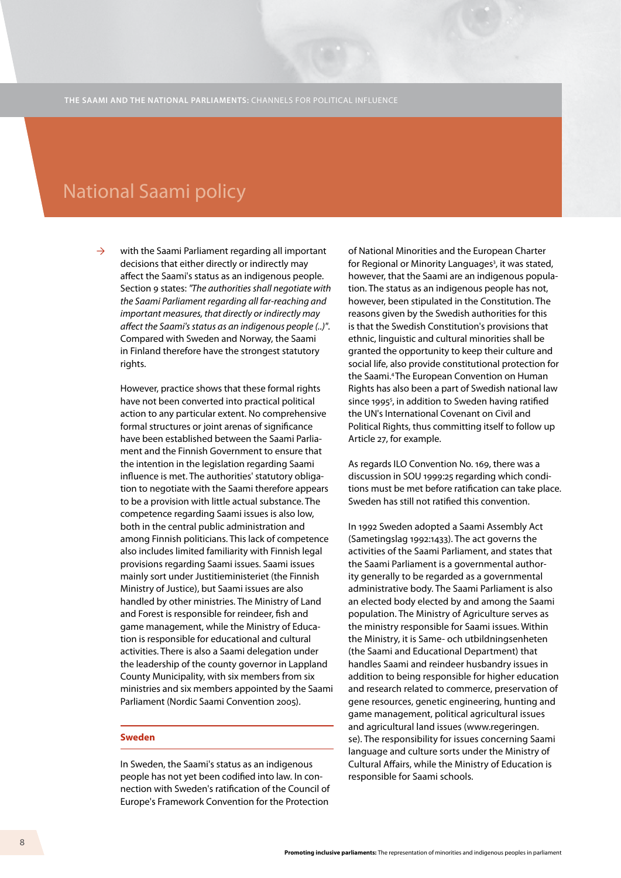## National Saami policy

with the Saami Parliament regarding all important decisions that either directly or indirectly may affect the Saami's status as an indigenous people. Section 9 states: *"The authorities shall negotiate with the Saami Parliament regarding all far-reaching and important measures, that directly or indirectly may affect the Saami's status as an indigenous people (..)"*. Compared with Sweden and Norway, the Saami in Finland therefore have the strongest statutory rights.  $\rightarrow$ 

However, practice shows that these formal rights have not been converted into practical political action to any particular extent. No comprehensive formal structures or joint arenas of significance have been established between the Saami Parliament and the Finnish Government to ensure that the intention in the legislation regarding Saami influence is met. The authorities' statutory obligation to negotiate with the Saami therefore appears to be a provision with little actual substance. The competence regarding Saami issues is also low, both in the central public administration and among Finnish politicians. This lack of competence also includes limited familiarity with Finnish legal provisions regarding Saami issues. Saami issues mainly sort under Justitieministeriet (the Finnish Ministry of Justice), but Saami issues are also handled by other ministries. The Ministry of Land and Forest is responsible for reindeer, fish and game management, while the Ministry of Education is responsible for educational and cultural activities. There is also a Saami delegation under the leadership of the county governor in Lappland County Municipality, with six members from six ministries and six members appointed by the Saami Parliament (Nordic Saami Convention 2005).

#### **Sweden**

In Sweden, the Saami's status as an indigenous people has not yet been codified into law. In connection with Sweden's ratification of the Council of Europe's Framework Convention for the Protection

of National Minorities and the European Charter for Regional or Minority Languages<sup>3</sup>, it was stated, however, that the Saami are an indigenous population. The status as an indigenous people has not, however, been stipulated in the Constitution. The reasons given by the Swedish authorities for this is that the Swedish Constitution's provisions that ethnic, linguistic and cultural minorities shall be granted the opportunity to keep their culture and social life, also provide constitutional protection for the Saami.4 The European Convention on Human Rights has also been a part of Swedish national law since 1995<sup>5</sup>, in addition to Sweden having ratified the UN's International Covenant on Civil and Political Rights, thus committing itself to follow up Article 27, for example.

As regards ILO Convention No. 169, there was a discussion in SOU 1999:25 regarding which conditions must be met before ratification can take place. Sweden has still not ratified this convention.

In 1992 Sweden adopted a Saami Assembly Act (Sametingslag 1992:1433). The act governs the activities of the Saami Parliament, and states that the Saami Parliament is a governmental authority generally to be regarded as a governmental administrative body. The Saami Parliament is also an elected body elected by and among the Saami population. The Ministry of Agriculture serves as the ministry responsible for Saami issues. Within the Ministry, it is Same- och utbildningsenheten (the Saami and Educational Department) that handles Saami and reindeer husbandry issues in addition to being responsible for higher education and research related to commerce, preservation of gene resources, genetic engineering, hunting and game management, political agricultural issues and agricultural land issues (www.regeringen. se). The responsibility for issues concerning Saami language and culture sorts under the Ministry of Cultural Affairs, while the Ministry of Education is responsible for Saami schools.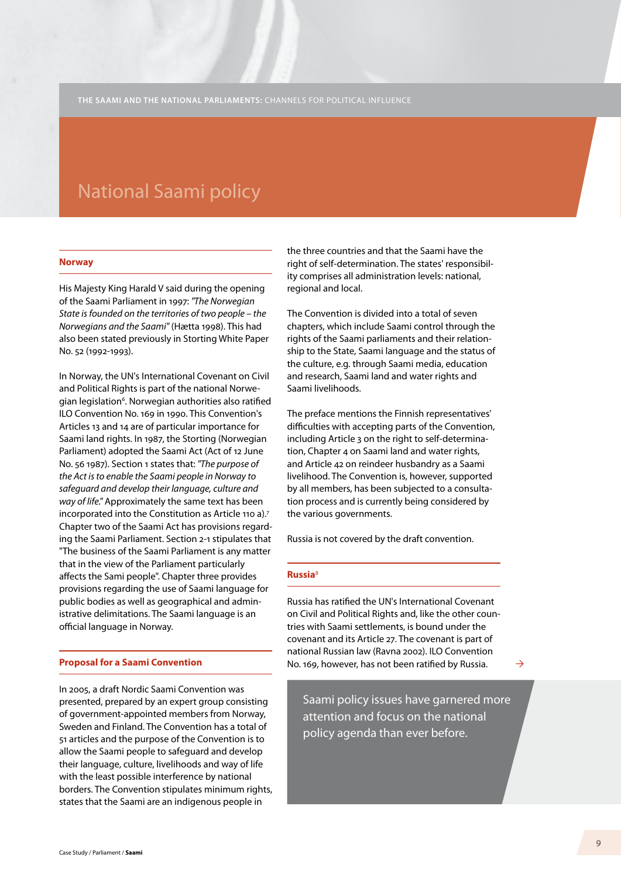## National Saami policy

#### **Norway**

His Majesty King Harald V said during the opening of the Saami Parliament in 1997: *"The Norwegian State is founded on the territories of two people – the Norwegians and the Saami"* (Hætta 1998). This had also been stated previously in Storting White Paper No. 52 (1992-1993).

In Norway, the UN's International Covenant on Civil and Political Rights is part of the national Norwegian legislation<sup>6</sup>. Norwegian authorities also ratified ILO Convention No. 169 in 1990. This Convention's Articles 13 and 14 are of particular importance for Saami land rights. In 1987, the Storting (Norwegian Parliament) adopted the Saami Act (Act of 12 June No. 56 1987). Section 1 states that: *"The purpose of the Act is to enable the Saami people in Norway to safeguard and develop their language, culture and way of life."* Approximately the same text has been incorporated into the Constitution as Article 110 a).<sup>7</sup> Chapter two of the Saami Act has provisions regarding the Saami Parliament. Section 2-1 stipulates that "The business of the Saami Parliament is any matter that in the view of the Parliament particularly affects the Sami people". Chapter three provides provisions regarding the use of Saami language for public bodies as well as geographical and administrative delimitations. The Saami language is an official language in Norway.

#### **Proposal for a Saami Convention**

In 2005, a draft Nordic Saami Convention was presented, prepared by an expert group consisting of government-appointed members from Norway, Sweden and Finland. The Convention has a total of 51 articles and the purpose of the Convention is to allow the Saami people to safeguard and develop their language, culture, livelihoods and way of life with the least possible interference by national borders. The Convention stipulates minimum rights, states that the Saami are an indigenous people in

the three countries and that the Saami have the right of self-determination. The states' responsibility comprises all administration levels: national, regional and local.

The Convention is divided into a total of seven chapters, which include Saami control through the rights of the Saami parliaments and their relationship to the State, Saami language and the status of the culture, e.g. through Saami media, education and research, Saami land and water rights and Saami livelihoods.

The preface mentions the Finnish representatives' difficulties with accepting parts of the Convention, including Article 3 on the right to self-determination, Chapter 4 on Saami land and water rights, and Article 42 on reindeer husbandry as a Saami livelihood. The Convention is, however, supported by all members, has been subjected to a consultation process and is currently being considered by the various governments.

Russia is not covered by the draft convention.

### **Russia**<sup>8</sup>

Russia has ratified the UN's International Covenant on Civil and Political Rights and, like the other countries with Saami settlements, is bound under the covenant and its Article 27. The covenant is part of national Russian law (Ravna 2002). ILO Convention No. 169, however, has not been ratified by Russia.

 $\rightarrow$ 

Saami policy issues have garnered more attention and focus on the national policy agenda than ever before.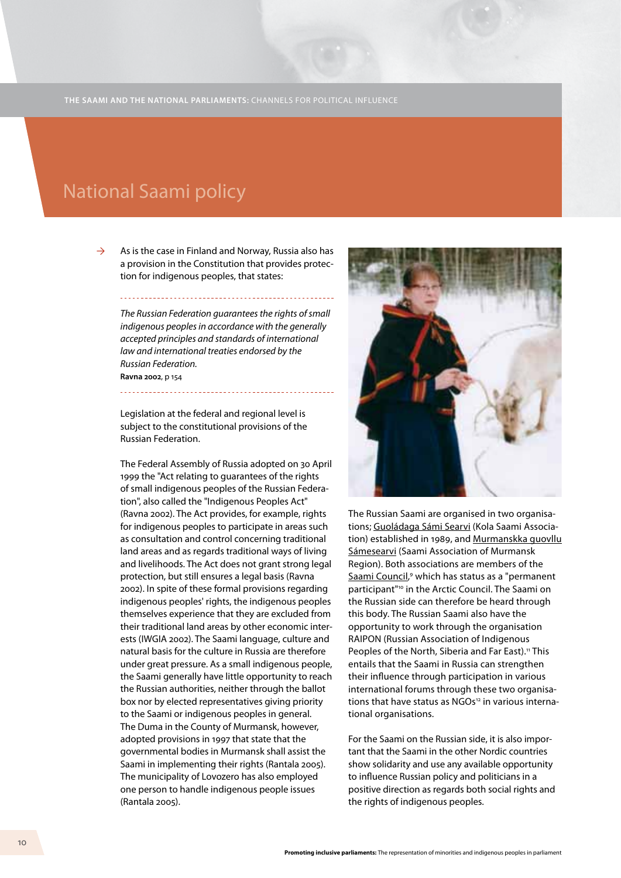# National Saami policy

As is the case in Finland and Norway, Russia also has a provision in the Constitution that provides protection for indigenous peoples, that states:  $\rightarrow$ 

*The Russian Federation guarantees the rights of small indigenous peoples in accordance with the generally accepted principles and standards of international law and international treaties endorsed by the Russian Federation.*  **Ravna 2002**, p 154

Legislation at the federal and regional level is subject to the constitutional provisions of the Russian Federation.

The Federal Assembly of Russia adopted on 30 April 1999 the "Act relating to guarantees of the rights of small indigenous peoples of the Russian Federation", also called the "Indigenous Peoples Act" (Ravna 2002). The Act provides, for example, rights for indigenous peoples to participate in areas such as consultation and control concerning traditional land areas and as regards traditional ways of living and livelihoods. The Act does not grant strong legal protection, but still ensures a legal basis (Ravna 2002). In spite of these formal provisions regarding indigenous peoples' rights, the indigenous peoples themselves experience that they are excluded from their traditional land areas by other economic interests (IWGIA 2002). The Saami language, culture and natural basis for the culture in Russia are therefore under great pressure. As a small indigenous people, the Saami generally have little opportunity to reach the Russian authorities, neither through the ballot box nor by elected representatives giving priority to the Saami or indigenous peoples in general. The Duma in the County of Murmansk, however, adopted provisions in 1997 that state that the governmental bodies in Murmansk shall assist the Saami in implementing their rights (Rantala 2005). The municipality of Lovozero has also employed one person to handle indigenous people issues (Rantala 2005).



The Russian Saami are organised in two organisations; Guoládaga Sámi Searvi (Kola Saami Association) established in 1989, and Murmanskka guovllu Sámesearvi (Saami Association of Murmansk Region). Both associations are members of the Saami Council,<sup>9</sup> which has status as a "permanent participant"10 in the Arctic Council. The Saami on the Russian side can therefore be heard through this body. The Russian Saami also have the opportunity to work through the organisation RAIPON (Russian Association of Indigenous Peoples of the North, Siberia and Far East).<sup>11</sup> This entails that the Saami in Russia can strengthen their influence through participation in various international forums through these two organisations that have status as NGOs<sup>12</sup> in various international organisations.

For the Saami on the Russian side, it is also important that the Saami in the other Nordic countries show solidarity and use any available opportunity to influence Russian policy and politicians in a positive direction as regards both social rights and the rights of indigenous peoples.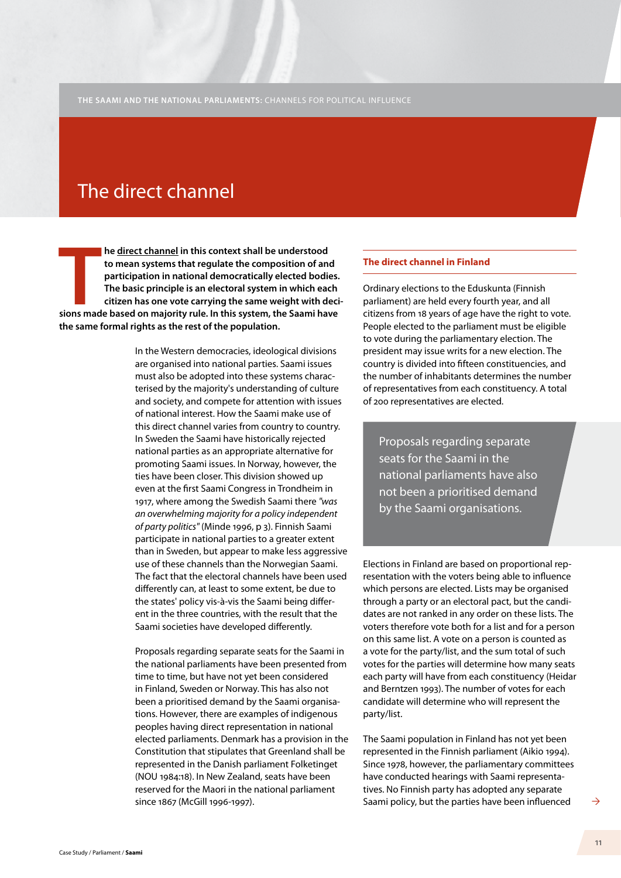# The direct channel

**THE SAMIGE STARK IN THE SAMIGHT SHEAD STARK IS A BASED ON MAJOR STARK IS DESCRIPTED AN APACTE OF A BASIC principle is an electoral system in which each citizen has one vote carrying the same weight with decisions made bas he direct channel in this context shall be understood to mean systems that regulate the composition of and participation in national democratically elected bodies. The basic principle is an electoral system in which each citizen has one vote carrying the same weight with decithe same formal rights as the rest of the population.** 

> In the Western democracies, ideological divisions are organised into national parties. Saami issues must also be adopted into these systems characterised by the majority's understanding of culture and society, and compete for attention with issues of national interest. How the Saami make use of this direct channel varies from country to country. In Sweden the Saami have historically rejected national parties as an appropriate alternative for promoting Saami issues. In Norway, however, the ties have been closer. This division showed up even at the first Saami Congress in Trondheim in 1917, where among the Swedish Saami there *"was an overwhelming majority for a policy independent of party politics"* (Minde 1996, p 3). Finnish Saami participate in national parties to a greater extent than in Sweden, but appear to make less aggressive use of these channels than the Norwegian Saami. The fact that the electoral channels have been used differently can, at least to some extent, be due to the states' policy vis-à-vis the Saami being different in the three countries, with the result that the Saami societies have developed differently.

> Proposals regarding separate seats for the Saami in the national parliaments have been presented from time to time, but have not yet been considered in Finland, Sweden or Norway. This has also not been a prioritised demand by the Saami organisations. However, there are examples of indigenous peoples having direct representation in national elected parliaments. Denmark has a provision in the Constitution that stipulates that Greenland shall be represented in the Danish parliament Folketinget (NOU 1984:18). In New Zealand, seats have been reserved for the Maori in the national parliament since 1867 (McGill 1996-1997).

### **The direct channel in Finland**

Ordinary elections to the Eduskunta (Finnish parliament) are held every fourth year, and all citizens from 18 years of age have the right to vote. People elected to the parliament must be eligible to vote during the parliamentary election. The president may issue writs for a new election. The country is divided into fifteen constituencies, and the number of inhabitants determines the number of representatives from each constituency. A total of 200 representatives are elected.

Proposals regarding separate seats for the Saami in the national parliaments have also not been a prioritised demand by the Saami organisations.

Elections in Finland are based on proportional representation with the voters being able to influence which persons are elected. Lists may be organised through a party or an electoral pact, but the candidates are not ranked in any order on these lists. The voters therefore vote both for a list and for a person on this same list. A vote on a person is counted as a vote for the party/list, and the sum total of such votes for the parties will determine how many seats each party will have from each constituency (Heidar and Berntzen 1993). The number of votes for each candidate will determine who will represent the party/list.

The Saami population in Finland has not yet been represented in the Finnish parliament (Aikio 1994). Since 1978, however, the parliamentary committees have conducted hearings with Saami representatives. No Finnish party has adopted any separate Saami policy, but the parties have been influenced

 $\rightarrow$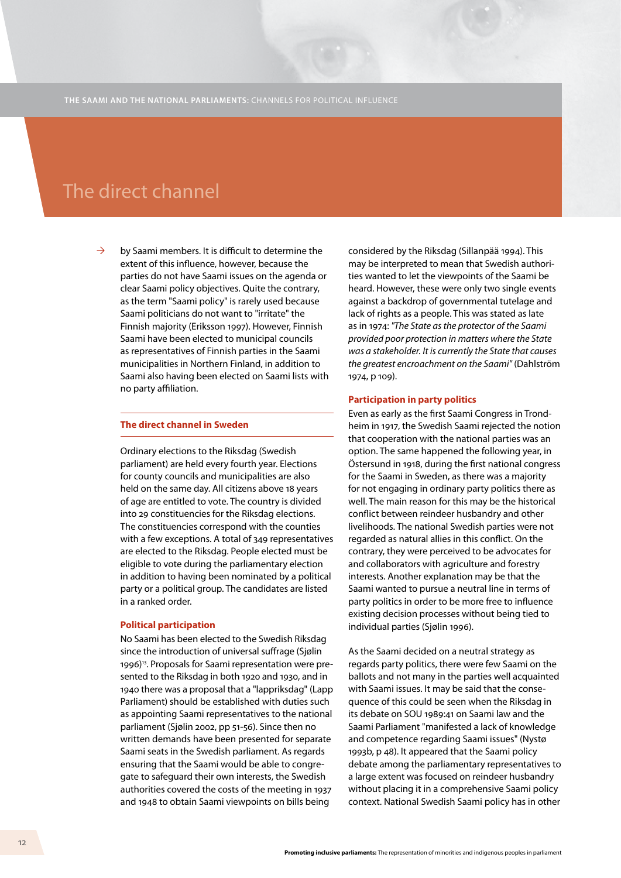### The direct channel

by Saami members. It is difficult to determine the extent of this influence, however, because the parties do not have Saami issues on the agenda or clear Saami policy objectives. Quite the contrary, as the term "Saami policy" is rarely used because Saami politicians do not want to "irritate" the Finnish majority (Eriksson 1997). However, Finnish Saami have been elected to municipal councils as representatives of Finnish parties in the Saami municipalities in Northern Finland, in addition to Saami also having been elected on Saami lists with no party affiliation.  $\rightarrow$ 

#### **The direct channel in Sweden**

Ordinary elections to the Riksdag (Swedish parliament) are held every fourth year. Elections for county councils and municipalities are also held on the same day. All citizens above 18 years of age are entitled to vote. The country is divided into 29 constituencies for the Riksdag elections. The constituencies correspond with the counties with a few exceptions. A total of 349 representatives are elected to the Riksdag. People elected must be eligible to vote during the parliamentary election in addition to having been nominated by a political party or a political group. The candidates are listed in a ranked order.

#### **Political participation**

No Saami has been elected to the Swedish Riksdag since the introduction of universal suffrage (Sjølin 1996)<sup>13</sup>. Proposals for Saami representation were presented to the Riksdag in both 1920 and 1930, and in 1940 there was a proposal that a "lappriksdag" (Lapp Parliament) should be established with duties such as appointing Saami representatives to the national parliament (Sjølin 2002, pp 51-56). Since then no written demands have been presented for separate Saami seats in the Swedish parliament. As regards ensuring that the Saami would be able to congregate to safeguard their own interests, the Swedish authorities covered the costs of the meeting in 1937 and 1948 to obtain Saami viewpoints on bills being

considered by the Riksdag (Sillanpää 1994). This may be interpreted to mean that Swedish authorities wanted to let the viewpoints of the Saami be heard. However, these were only two single events against a backdrop of governmental tutelage and lack of rights as a people. This was stated as late as in 1974: *"The State as the protector of the Saami provided poor protection in matters where the State was a stakeholder. It is currently the State that causes the greatest encroachment on the Saami"* (Dahlström 1974, p 109).

#### **Participation in party politics**

Even as early as the first Saami Congress in Trondheim in 1917, the Swedish Saami rejected the notion that cooperation with the national parties was an option. The same happened the following year, in Östersund in 1918, during the first national congress for the Saami in Sweden, as there was a majority for not engaging in ordinary party politics there as well. The main reason for this may be the historical conflict between reindeer husbandry and other livelihoods. The national Swedish parties were not regarded as natural allies in this conflict. On the contrary, they were perceived to be advocates for and collaborators with agriculture and forestry interests. Another explanation may be that the Saami wanted to pursue a neutral line in terms of party politics in order to be more free to influence existing decision processes without being tied to individual parties (Sjølin 1996).

As the Saami decided on a neutral strategy as regards party politics, there were few Saami on the ballots and not many in the parties well acquainted with Saami issues. It may be said that the consequence of this could be seen when the Riksdag in its debate on SOU 1989:41 on Saami law and the Saami Parliament "manifested a lack of knowledge and competence regarding Saami issues" (Nystø 1993b, p 48). It appeared that the Saami policy debate among the parliamentary representatives to a large extent was focused on reindeer husbandry without placing it in a comprehensive Saami policy context. National Swedish Saami policy has in other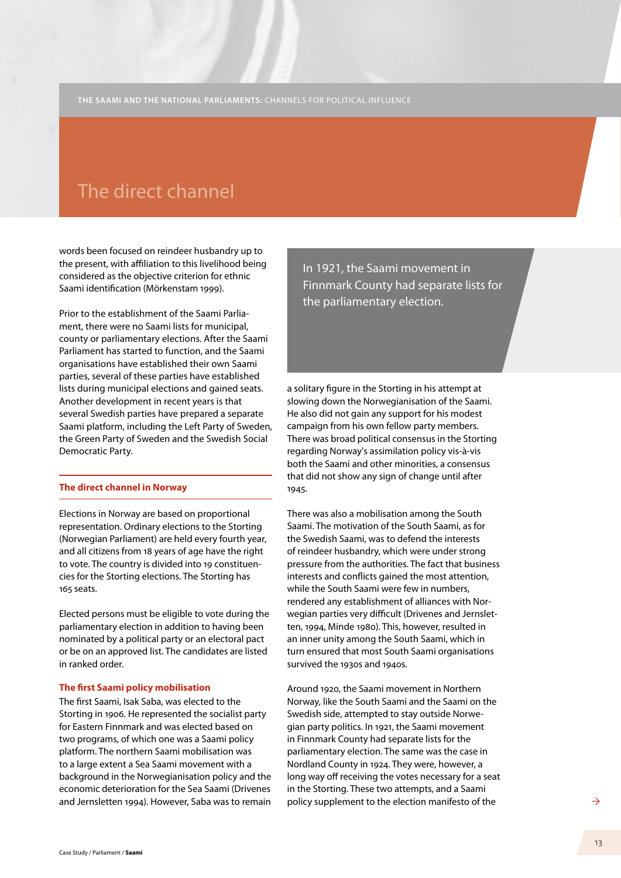### The direct channel

words been focused on reindeer husbandry up to the present, with affiliation to this livelihood being considered as the objective criterion for ethnic Saami identification (Mörkenstam 1999).

Prior to the establishment of the Saami Parliament, there were no Saami lists for municipal, county or parliamentary elections. After the Saami Parliament has started to function, and the Saami organisations have established their own Saami parties, several of these parties have established lists during municipal elections and gained seats. Another development in recent years is that several Swedish parties have prepared a separate Saami platform, including the Left Party of Sweden, the Green Party of Sweden and the Swedish Social Democratic Party.

### **The direct channel in Norway**

Elections in Norway are based on proportional representation. Ordinary elections to the Storting (Norwegian Parliament) are held every fourth year, and all citizens from 18 years of age have the right to vote. The country is divided into 19 constituencies for the Storting elections. The Storting has 165 seats.

Elected persons must be eligible to vote during the parliamentary election in addition to having been nominated by a political party or an electoral pact or be on an approved list. The candidates are listed in ranked order.

#### **The first Saami policy mobilisation**

The first Saami, Isak Saba, was elected to the Storting in 1906. He represented the socialist party for Eastern Finnmark and was elected based on two programs, of which one was a Saami policy platform. The northern Saami mobilisation was to a large extent a Sea Saami movement with a background in the Norwegianisation policy and the economic deterioration for the Sea Saami (Drivenes and Jernsletten 1994). However, Saba was to remain In 1921, the Saami movement in Finnmark County had separate lists for the parliamentary election.

a solitary figure in the Storting in his attempt at slowing down the Norwegianisation of the Saami. He also did not gain any support for his modest campaign from his own fellow party members. There was broad political consensus in the Storting regarding Norway's assimilation policy vis-à-vis both the Saami and other minorities, a consensus that did not show any sign of change until after 1945.

There was also a mobilisation among the South Saami. The motivation of the South Saami, as for the Swedish Saami, was to defend the interests of reindeer husbandry, which were under strong pressure from the authorities. The fact that business interests and conflicts gained the most attention, while the South Saami were few in numbers, rendered any establishment of alliances with Norwegian parties very difficult (Drivenes and Jernsletten, 1994, Minde 1980). This, however, resulted in an inner unity among the South Saami, which in turn ensured that most South Saami organisations survived the 1930s and 1940s.

Around 1920, the Saami movement in Northern Norway, like the South Saami and the Saami on the Swedish side, attempted to stay outside Norwegian party politics. In 1921, the Saami movement in Finnmark County had separate lists for the parliamentary election. The same was the case in Nordland County in 1924. They were, however, a long way off receiving the votes necessary for a seat in the Storting. These two attempts, and a Saami policy supplement to the election manifesto of the

 $\rightarrow$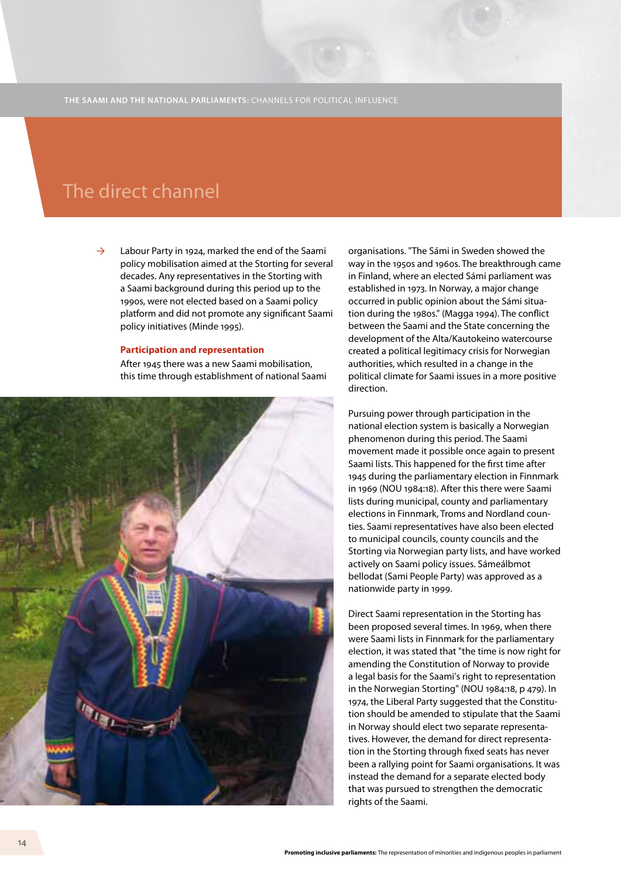### The direct channel

Labour Party in 1924, marked the end of the Saami policy mobilisation aimed at the Storting for several decades. Any representatives in the Storting with a Saami background during this period up to the 1990s, were not elected based on a Saami policy platform and did not promote any significant Saami policy initiatives (Minde 1995).  $\rightarrow$ 

#### **Participation and representation**

After 1945 there was a new Saami mobilisation, this time through establishment of national Saami



organisations. "The Sámi in Sweden showed the way in the 1950s and 1960s. The breakthrough came in Finland, where an elected Sámi parliament was established in 1973. In Norway, a major change occurred in public opinion about the Sámi situation during the 1980s." (Magga 1994). The conflict between the Saami and the State concerning the development of the Alta/Kautokeino watercourse created a political legitimacy crisis for Norwegian authorities, which resulted in a change in the political climate for Saami issues in a more positive direction.

Pursuing power through participation in the national election system is basically a Norwegian phenomenon during this period. The Saami movement made it possible once again to present Saami lists. This happened for the first time after 1945 during the parliamentary election in Finnmark in 1969 (NOU 1984:18). After this there were Saami lists during municipal, county and parliamentary elections in Finnmark, Troms and Nordland counties. Saami representatives have also been elected to municipal councils, county councils and the Storting via Norwegian party lists, and have worked actively on Saami policy issues. Sámeálbmot bellodat (Sami People Party) was approved as a nationwide party in 1999.

Direct Saami representation in the Storting has been proposed several times. In 1969, when there were Saami lists in Finnmark for the parliamentary election, it was stated that "the time is now right for amending the Constitution of Norway to provide a legal basis for the Saami's right to representation in the Norwegian Storting" (NOU 1984:18, p 479). In 1974, the Liberal Party suggested that the Constitution should be amended to stipulate that the Saami in Norway should elect two separate representatives. However, the demand for direct representation in the Storting through fixed seats has never been a rallying point for Saami organisations. It was instead the demand for a separate elected body that was pursued to strengthen the democratic rights of the Saami.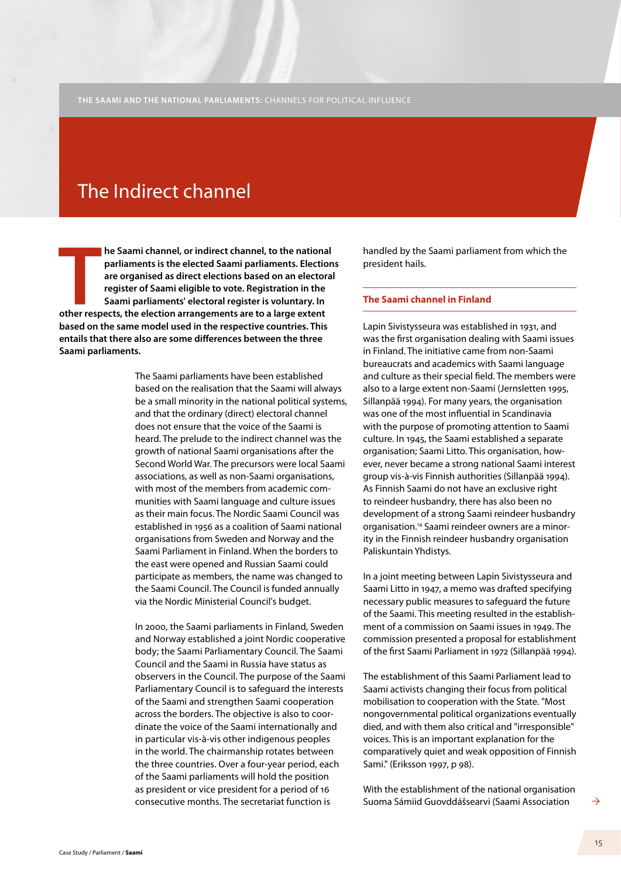# The Indirect channel

**THE REVALUS IN THE REVALUST SHEP THE PREVENTIFY AT A LARGE PREVENTIFY AND PARTIST ARRANGE PREVENTIFY AT A large extent SAMP ISLAM CONTINUES Are to a large extent of Sami parliaments' electoral register is voluntary. In ot he Saami channel, or indirect channel, to the national parliaments is the elected Saami parliaments. Elections are organised as direct elections based on an electoral register of Saami eligible to vote. Registration in the Saami parliaments' electoral register is voluntary. In based on the same model used in the respective countries. This entails that there also are some differences between the three Saami parliaments.** 

> The Saami parliaments have been established based on the realisation that the Saami will always be a small minority in the national political systems, and that the ordinary (direct) electoral channel does not ensure that the voice of the Saami is heard. The prelude to the indirect channel was the growth of national Saami organisations after the Second World War. The precursors were local Saami associations, as well as non-Saami organisations, with most of the members from academic communities with Saami language and culture issues as their main focus. The Nordic Saami Council was established in 1956 as a coalition of Saami national organisations from Sweden and Norway and the Saami Parliament in Finland. When the borders to the east were opened and Russian Saami could participate as members, the name was changed to the Saami Council. The Council is funded annually via the Nordic Ministerial Council's budget.

> In 2000, the Saami parliaments in Finland, Sweden and Norway established a joint Nordic cooperative body; the Saami Parliamentary Council. The Saami Council and the Saami in Russia have status as observers in the Council. The purpose of the Saami Parliamentary Council is to safeguard the interests of the Saami and strengthen Saami cooperation across the borders. The objective is also to coordinate the voice of the Saami internationally and in particular vis-à-vis other indigenous peoples in the world. The chairmanship rotates between the three countries. Over a four-year period, each of the Saami parliaments will hold the position as president or vice president for a period of 16 consecutive months. The secretariat function is

handled by the Saami parliament from which the president hails.

#### **The Saami channel in Finland**

Lapin Sivistysseura was established in 1931, and was the first organisation dealing with Saami issues in Finland. The initiative came from non-Saami bureaucrats and academics with Saami language and culture as their special field. The members were also to a large extent non-Saami (Jernsletten 1995, Sillanpää 1994). For many years, the organisation was one of the most influential in Scandinavia with the purpose of promoting attention to Saami culture. In 1945, the Saami established a separate organisation; Saami Litto. This organisation, however, never became a strong national Saami interest group vis-à-vis Finnish authorities (Sillanpää 1994). As Finnish Saami do not have an exclusive right to reindeer husbandry, there has also been no development of a strong Saami reindeer husbandry organisation.14 Saami reindeer owners are a minority in the Finnish reindeer husbandry organisation Paliskuntain Yhdistys.

In a joint meeting between Lapin Sivistysseura and Saami Litto in 1947, a memo was drafted specifying necessary public measures to safeguard the future of the Saami. This meeting resulted in the establishment of a commission on Saami issues in 1949. The commission presented a proposal for establishment of the first Saami Parliament in 1972 (Sillanpää 1994).

The establishment of this Saami Parliament lead to Saami activists changing their focus from political mobilisation to cooperation with the State. "Most nongovernmental political organizations eventually died, and with them also critical and "irresponsible" voices. This is an important explanation for the comparatively quiet and weak opposition of Finnish Sami." (Eriksson 1997, p 98).

With the establishment of the national organisation Suoma Sámiid Guovddášsearvi (Saami Association

 $\rightarrow$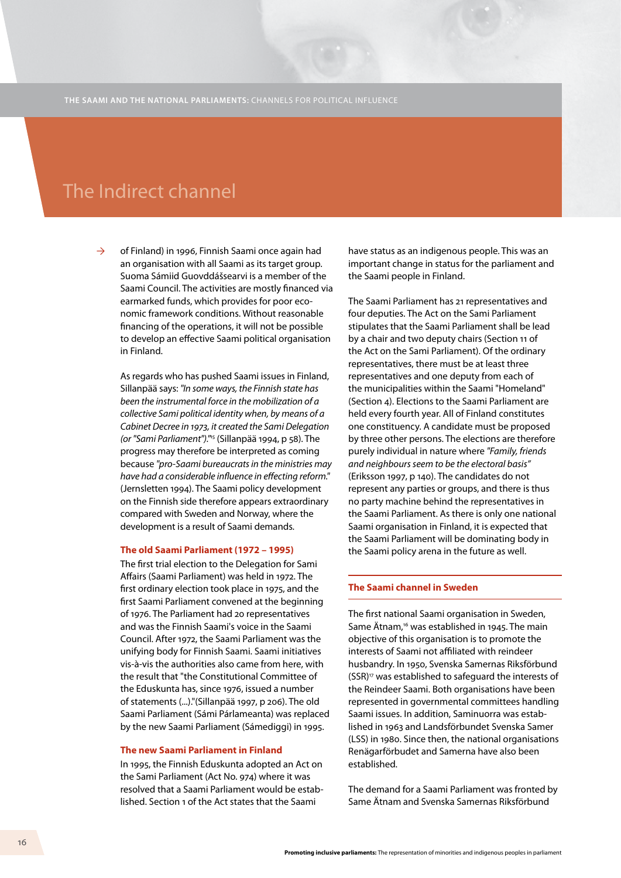### The Indirect channel

of Finland) in 1996, Finnish Saami once again had an organisation with all Saami as its target group. Suoma Sámiid Guovddášsearvi is a member of the Saami Council. The activities are mostly financed via earmarked funds, which provides for poor economic framework conditions. Without reasonable financing of the operations, it will not be possible to develop an effective Saami political organisation in Finland.  $\rightarrow$ 

As regards who has pushed Saami issues in Finland, Sillanpää says: *"In some ways, the Finnish state has been the instrumental force in the mobilization of a collective Sami political identity when, by means of a Cabinet Decree in 1973, it created the Sami Delegation (or "Sami Parliament")."*15 (Sillanpää 1994, p 58). The progress may therefore be interpreted as coming because *"pro-Saami bureaucrats in the ministries may have had a considerable influence in effecting reform."* (Jernsletten 1994). The Saami policy development on the Finnish side therefore appears extraordinary compared with Sweden and Norway, where the development is a result of Saami demands.

#### **The old Saami Parliament (1972 – 1995)**

The first trial election to the Delegation for Sami Affairs (Saami Parliament) was held in 1972. The first ordinary election took place in 1975, and the first Saami Parliament convened at the beginning of 1976. The Parliament had 20 representatives and was the Finnish Saami's voice in the Saami Council. After 1972, the Saami Parliament was the unifying body for Finnish Saami. Saami initiatives vis-à-vis the authorities also came from here, with the result that "the Constitutional Committee of the Eduskunta has, since 1976, issued a number of statements (...)."(Sillanpää 1997, p 206). The old Saami Parliament (Sámi Párlameanta) was replaced by the new Saami Parliament (Sámediggi) in 1995.

#### **The new Saami Parliament in Finland**

In 1995, the Finnish Eduskunta adopted an Act on the Sami Parliament (Act No. 974) where it was resolved that a Saami Parliament would be established. Section 1 of the Act states that the Saami

have status as an indigenous people. This was an important change in status for the parliament and the Saami people in Finland.

The Saami Parliament has 21 representatives and four deputies. The Act on the Sami Parliament stipulates that the Saami Parliament shall be lead by a chair and two deputy chairs (Section 11 of the Act on the Sami Parliament). Of the ordinary representatives, there must be at least three representatives and one deputy from each of the municipalities within the Saami "Homeland" (Section 4). Elections to the Saami Parliament are held every fourth year. All of Finland constitutes one constituency. A candidate must be proposed by three other persons. The elections are therefore purely individual in nature where *"Family, friends and neighbours seem to be the electoral basis"* (Eriksson 1997, p 140). The candidates do not represent any parties or groups, and there is thus no party machine behind the representatives in the Saami Parliament. As there is only one national Saami organisation in Finland, it is expected that the Saami Parliament will be dominating body in the Saami policy arena in the future as well.

### **The Saami channel in Sweden**

The first national Saami organisation in Sweden, Same Ätnam,<sup>16</sup> was established in 1945. The main objective of this organisation is to promote the interests of Saami not affiliated with reindeer husbandry. In 1950, Svenska Samernas Riksförbund (SSR)17 was established to safeguard the interests of the Reindeer Saami. Both organisations have been represented in governmental committees handling Saami issues. In addition, Saminuorra was established in 1963 and Landsförbundet Svenska Samer (LSS) in 1980. Since then, the national organisations Renägarförbudet and Samerna have also been established.

The demand for a Saami Parliament was fronted by Same Ätnam and Svenska Samernas Riksförbund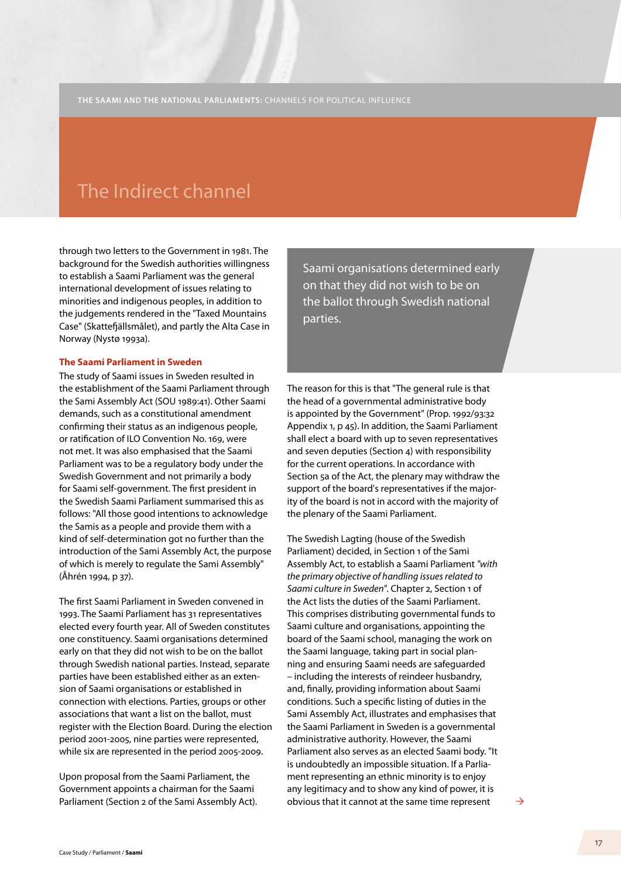### The Indirect channel

through two letters to the Government in 1981. The background for the Swedish authorities willingness to establish a Saami Parliament was the general international development of issues relating to minorities and indigenous peoples, in addition to the judgements rendered in the "Taxed Mountains Case" (Skattefjällsmålet), and partly the Alta Case in Norway (Nystø 1993a).

### **The Saami Parliament in Sweden**

The study of Saami issues in Sweden resulted in the establishment of the Saami Parliament through the Sami Assembly Act (SOU 1989:41). Other Saami demands, such as a constitutional amendment confirming their status as an indigenous people, or ratification of ILO Convention No. 169, were not met. It was also emphasised that the Saami Parliament was to be a regulatory body under the Swedish Government and not primarily a body for Saami self-government. The first president in the Swedish Saami Parliament summarised this as follows: "All those good intentions to acknowledge the Samis as a people and provide them with a kind of self-determination got no further than the introduction of the Sami Assembly Act, the purpose of which is merely to regulate the Sami Assembly" (Åhrén 1994, p 37).

The first Saami Parliament in Sweden convened in 1993. The Saami Parliament has 31 representatives elected every fourth year. All of Sweden constitutes one constituency. Saami organisations determined early on that they did not wish to be on the ballot through Swedish national parties. Instead, separate parties have been established either as an extension of Saami organisations or established in connection with elections. Parties, groups or other associations that want a list on the ballot, must register with the Election Board. During the election period 2001-2005, nine parties were represented, while six are represented in the period 2005-2009.

Upon proposal from the Saami Parliament, the Government appoints a chairman for the Saami Parliament (Section 2 of the Sami Assembly Act). Saami organisations determined early on that they did not wish to be on the ballot through Swedish national parties.

The reason for this is that "The general rule is that the head of a governmental administrative body is appointed by the Government" (Prop. 1992/93:32 Appendix 1, p 45). In addition, the Saami Parliament shall elect a board with up to seven representatives and seven deputies (Section 4) with responsibility for the current operations. In accordance with Section 5a of the Act, the plenary may withdraw the support of the board's representatives if the majority of the board is not in accord with the majority of the plenary of the Saami Parliament.

The Swedish Lagting (house of the Swedish Parliament) decided, in Section 1 of the Sami Assembly Act, to establish a Saami Parliament *"with the primary objective of handling issues related to Saami culture in Sweden"*. Chapter 2, Section 1 of the Act lists the duties of the Saami Parliament. This comprises distributing governmental funds to Saami culture and organisations, appointing the board of the Saami school, managing the work on the Saami language, taking part in social planning and ensuring Saami needs are safeguarded – including the interests of reindeer husbandry, and, finally, providing information about Saami conditions. Such a specific listing of duties in the Sami Assembly Act, illustrates and emphasises that the Saami Parliament in Sweden is a governmental administrative authority. However, the Saami Parliament also serves as an elected Saami body. "It is undoubtedly an impossible situation. If a Parliament representing an ethnic minority is to enjoy any legitimacy and to show any kind of power, it is obvious that it cannot at the same time represent  $\rightarrow$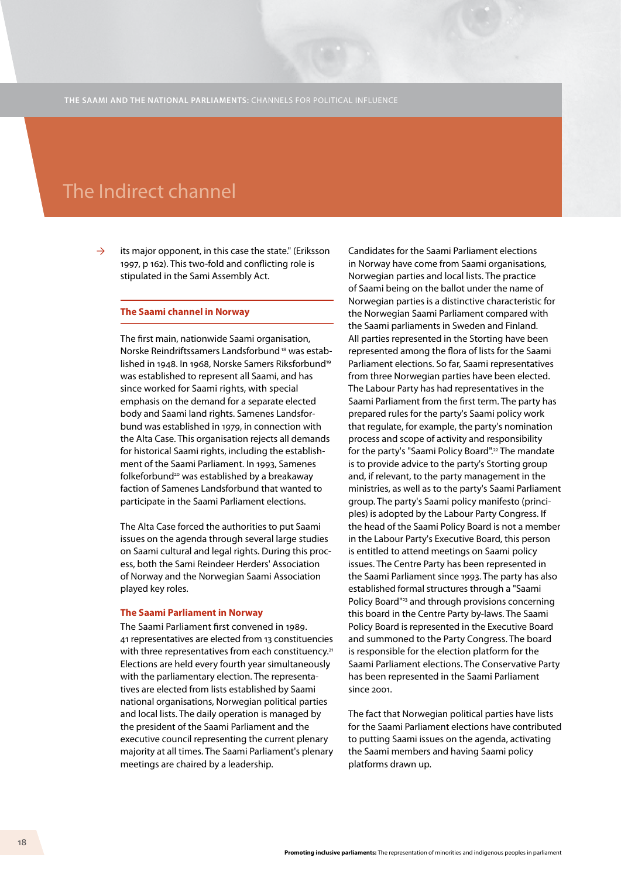### The Indirect channel

its major opponent, in this case the state." (Eriksson 1997, p 162). This two-fold and conflicting role is stipulated in the Sami Assembly Act.  $\rightarrow$ 

### **The Saami channel in Norway**

The first main, nationwide Saami organisation, Norske Reindriftssamers Landsforbund 18 was established in 1948. In 1968, Norske Samers Riksforbund<sup>19</sup> was established to represent all Saami, and has since worked for Saami rights, with special emphasis on the demand for a separate elected body and Saami land rights. Samenes Landsforbund was established in 1979, in connection with the Alta Case. This organisation rejects all demands for historical Saami rights, including the establishment of the Saami Parliament. In 1993, Samenes folkeforbund20 was established by a breakaway faction of Samenes Landsforbund that wanted to participate in the Saami Parliament elections.

The Alta Case forced the authorities to put Saami issues on the agenda through several large studies on Saami cultural and legal rights. During this process, both the Sami Reindeer Herders' Association of Norway and the Norwegian Saami Association played key roles.

#### **The Saami Parliament in Norway**

The Saami Parliament first convened in 1989. 41 representatives are elected from 13 constituencies with three representatives from each constituency.<sup>21</sup> Elections are held every fourth year simultaneously with the parliamentary election. The representatives are elected from lists established by Saami national organisations, Norwegian political parties and local lists. The daily operation is managed by the president of the Saami Parliament and the executive council representing the current plenary majority at all times. The Saami Parliament's plenary meetings are chaired by a leadership.

Candidates for the Saami Parliament elections in Norway have come from Saami organisations, Norwegian parties and local lists. The practice of Saami being on the ballot under the name of Norwegian parties is a distinctive characteristic for the Norwegian Saami Parliament compared with the Saami parliaments in Sweden and Finland. All parties represented in the Storting have been represented among the flora of lists for the Saami Parliament elections. So far, Saami representatives from three Norwegian parties have been elected. The Labour Party has had representatives in the Saami Parliament from the first term. The party has prepared rules for the party's Saami policy work that regulate, for example, the party's nomination process and scope of activity and responsibility for the party's "Saami Policy Board".22 The mandate is to provide advice to the party's Storting group and, if relevant, to the party management in the ministries, as well as to the party's Saami Parliament group. The party's Saami policy manifesto (principles) is adopted by the Labour Party Congress. If the head of the Saami Policy Board is not a member in the Labour Party's Executive Board, this person is entitled to attend meetings on Saami policy issues. The Centre Party has been represented in the Saami Parliament since 1993. The party has also established formal structures through a "Saami Policy Board"23 and through provisions concerning this board in the Centre Party by-laws. The Saami Policy Board is represented in the Executive Board and summoned to the Party Congress. The board is responsible for the election platform for the Saami Parliament elections. The Conservative Party has been represented in the Saami Parliament since 2001.

The fact that Norwegian political parties have lists for the Saami Parliament elections have contributed to putting Saami issues on the agenda, activating the Saami members and having Saami policy platforms drawn up.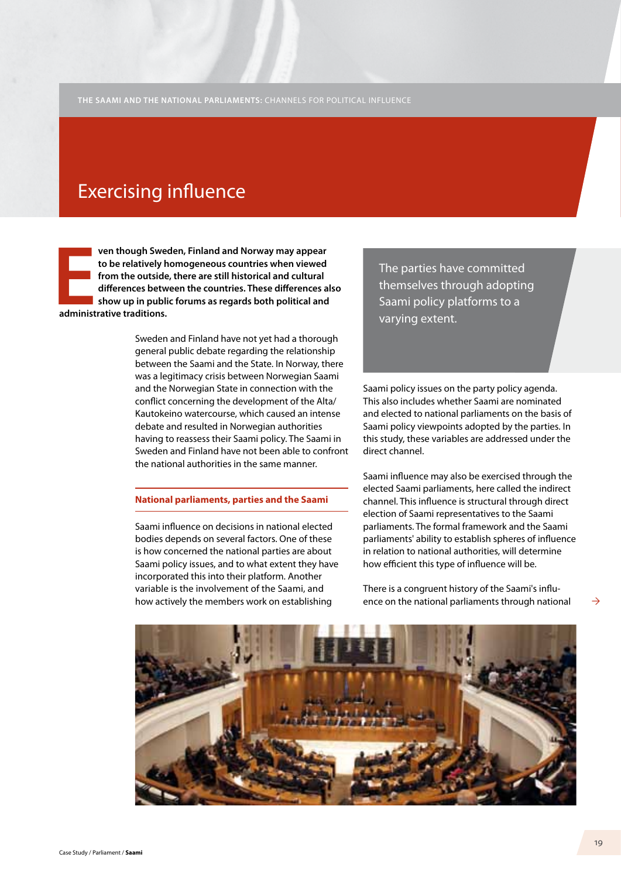## Exercising influence

**EXECUTE 18 YOU SERVIE 18 YOU SAMPLE 18 YOU SERVIE 19 YOU SHOW UP IN PUBLICATIONS.**<br> **EXECUTE 19 YOU SHOW UP IN PUBLICANT AND SHOW UP IN PUBLICANT ADMINISTRATIVE TRACHAPTE. ven though Sweden, Finland and Norway may appear to be relatively homogeneous countries when viewed from the outside, there are still historical and cultural differences between the countries. These differences also show up in public forums as regards both political and** 

> Sweden and Finland have not yet had a thorough general public debate regarding the relationship between the Saami and the State. In Norway, there was a legitimacy crisis between Norwegian Saami and the Norwegian State in connection with the conflict concerning the development of the Alta/ Kautokeino watercourse, which caused an intense debate and resulted in Norwegian authorities having to reassess their Saami policy. The Saami in Sweden and Finland have not been able to confront the national authorities in the same manner.

#### **National parliaments, parties and the Saami**

Saami influence on decisions in national elected bodies depends on several factors. One of these is how concerned the national parties are about Saami policy issues, and to what extent they have incorporated this into their platform. Another variable is the involvement of the Saami, and how actively the members work on establishing

The parties have committed themselves through adopting Saami policy platforms to a varying extent.

Saami policy issues on the party policy agenda. This also includes whether Saami are nominated and elected to national parliaments on the basis of Saami policy viewpoints adopted by the parties. In this study, these variables are addressed under the direct channel.

Saami influence may also be exercised through the elected Saami parliaments, here called the indirect channel. This influence is structural through direct election of Saami representatives to the Saami parliaments. The formal framework and the Saami parliaments' ability to establish spheres of influence in relation to national authorities, will determine how efficient this type of influence will be.

There is a congruent history of the Saami's influence on the national parliaments through national

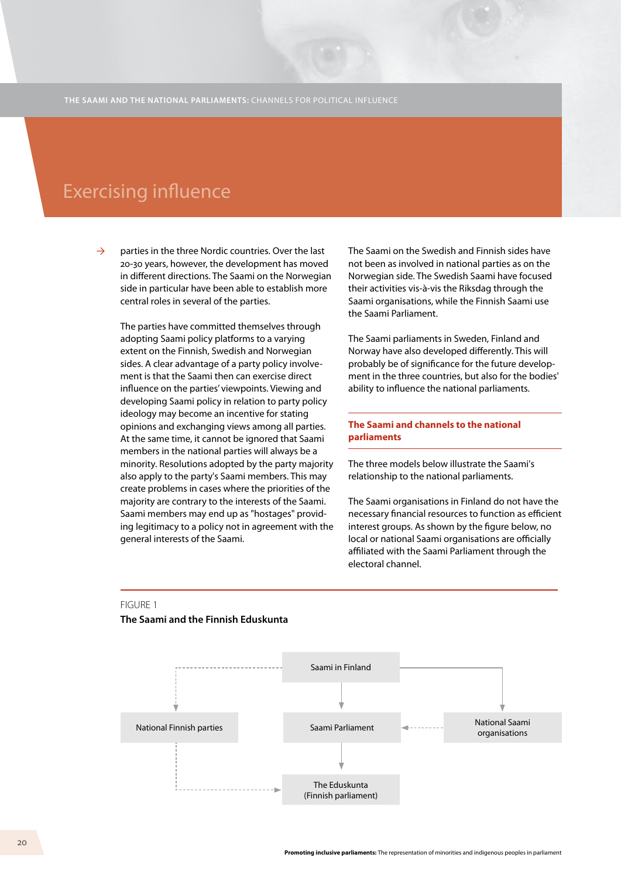### **Exercising influence**

parties in the three Nordic countries. Over the last 20-30 years, however, the development has moved in different directions. The Saami on the Norwegian side in particular have been able to establish more central roles in several of the parties.  $\rightarrow$ 

The parties have committed themselves through adopting Saami policy platforms to a varying extent on the Finnish, Swedish and Norwegian sides. A clear advantage of a party policy involvement is that the Saami then can exercise direct influence on the parties' viewpoints. Viewing and developing Saami policy in relation to party policy ideology may become an incentive for stating opinions and exchanging views among all parties. At the same time, it cannot be ignored that Saami members in the national parties will always be a minority. Resolutions adopted by the party majority also apply to the party's Saami members. This may create problems in cases where the priorities of the majority are contrary to the interests of the Saami. Saami members may end up as "hostages" providing legitimacy to a policy not in agreement with the general interests of the Saami.

The Saami on the Swedish and Finnish sides have not been as involved in national parties as on the Norwegian side. The Swedish Saami have focused their activities vis-à-vis the Riksdag through the Saami organisations, while the Finnish Saami use the Saami Parliament.

The Saami parliaments in Sweden, Finland and Norway have also developed differently. This will probably be of significance for the future development in the three countries, but also for the bodies' ability to influence the national parliaments.

### **The Saami and channels to the national parliaments**

The three models below illustrate the Saami's relationship to the national parliaments.

The Saami organisations in Finland do not have the necessary financial resources to function as efficient interest groups. As shown by the figure below, no local or national Saami organisations are officially affiliated with the Saami Parliament through the electoral channel.



#### FIGURE 1

#### **The Saami and the Finnish Eduskunta**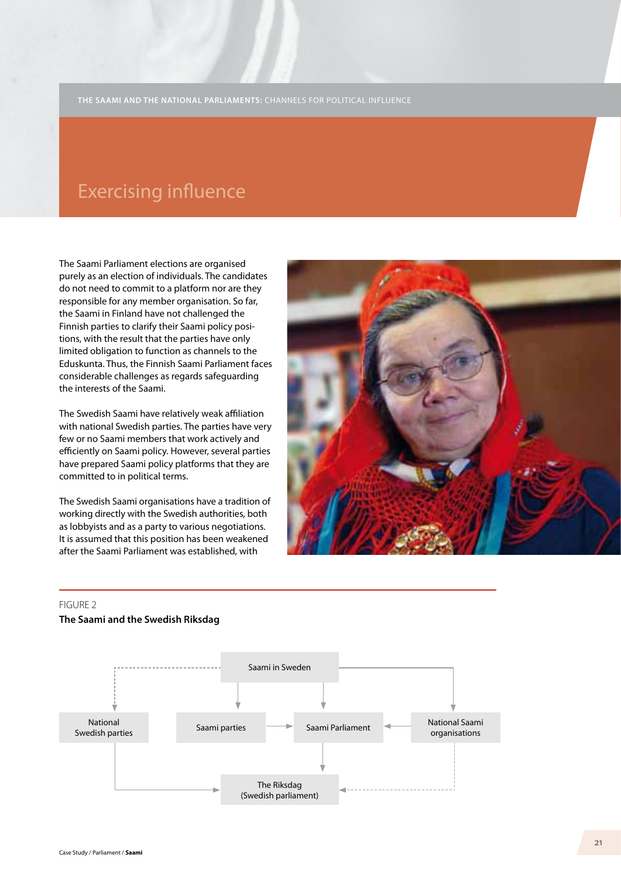### **Exercising influence**

The Saami Parliament elections are organised purely as an election of individuals. The candidates do not need to commit to a platform nor are they responsible for any member organisation. So far, the Saami in Finland have not challenged the Finnish parties to clarify their Saami policy positions, with the result that the parties have only limited obligation to function as channels to the Eduskunta. Thus, the Finnish Saami Parliament faces considerable challenges as regards safeguarding the interests of the Saami.

The Swedish Saami have relatively weak affiliation with national Swedish parties. The parties have very few or no Saami members that work actively and efficiently on Saami policy. However, several parties have prepared Saami policy platforms that they are committed to in political terms.

The Swedish Saami organisations have a tradition of working directly with the Swedish authorities, both as lobbyists and as a party to various negotiations. It is assumed that this position has been weakened after the Saami Parliament was established, with



#### FIGURE 2

#### **The Saami and the Swedish Riksdag**

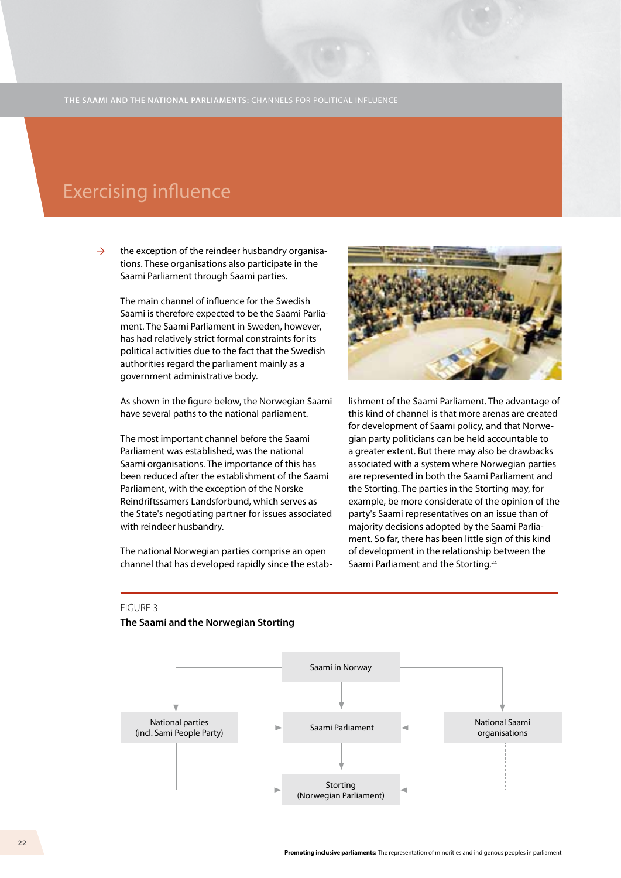### **Exercising influence**

the exception of the reindeer husbandry organisations. These organisations also participate in the Saami Parliament through Saami parties.  $\rightarrow$ 

> The main channel of influence for the Swedish Saami is therefore expected to be the Saami Parliament. The Saami Parliament in Sweden, however, has had relatively strict formal constraints for its political activities due to the fact that the Swedish authorities regard the parliament mainly as a government administrative body.

As shown in the figure below, the Norwegian Saami have several paths to the national parliament.

The most important channel before the Saami Parliament was established, was the national Saami organisations. The importance of this has been reduced after the establishment of the Saami Parliament, with the exception of the Norske Reindriftssamers Landsforbund, which serves as the State's negotiating partner for issues associated with reindeer husbandry.

The national Norwegian parties comprise an open channel that has developed rapidly since the estab-



lishment of the Saami Parliament. The advantage of this kind of channel is that more arenas are created for development of Saami policy, and that Norwegian party politicians can be held accountable to a greater extent. But there may also be drawbacks associated with a system where Norwegian parties are represented in both the Saami Parliament and the Storting. The parties in the Storting may, for example, be more considerate of the opinion of the party's Saami representatives on an issue than of majority decisions adopted by the Saami Parliament. So far, there has been little sign of this kind of development in the relationship between the Saami Parliament and the Storting.<sup>24</sup>

#### FIGURE 3

#### **The Saami and the Norwegian Storting**

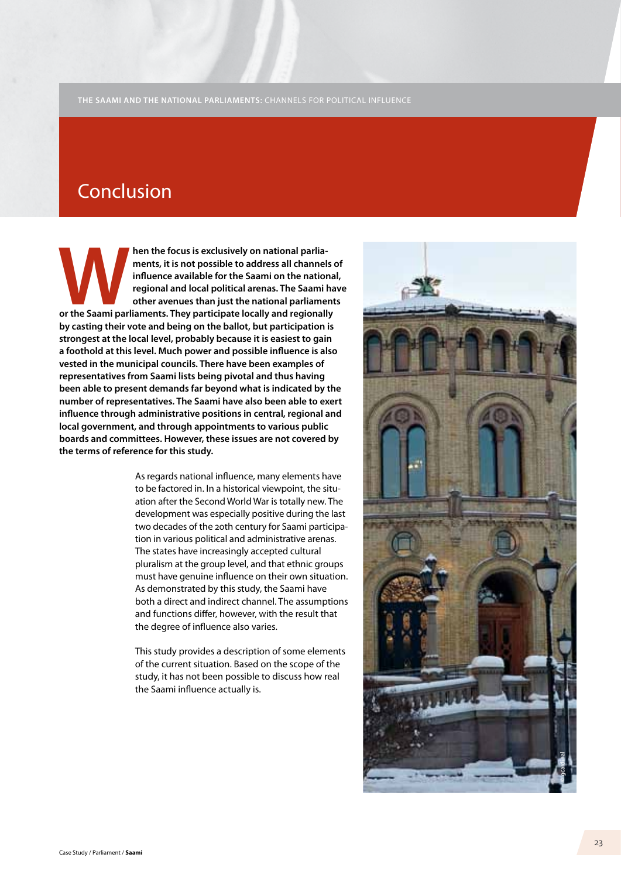## Conclusion

**Paramients, it is not possible to address all channels influence available for the Saami on the national regional and local political arenas. The Saami has other avenues than just the national parliament or the Saami parl ments, it is not possible to address all channels of influence available for the Saami on the national, regional and local political arenas. The Saami have other avenues than just the national parliaments by casting their vote and being on the ballot, but participation is strongest at the local level, probably because it is easiest to gain a foothold at this level. Much power and possible influence is also vested in the municipal councils. There have been examples of representatives from Saami lists being pivotal and thus having been able to present demands far beyond what is indicated by the number of representatives. The Saami have also been able to exert influence through administrative positions in central, regional and local government, and through appointments to various public boards and committees. However, these issues are not covered by the terms of reference for this study.** 

> As regards national influence, many elements have to be factored in. In a historical viewpoint, the situation after the Second World War is totally new. The development was especially positive during the last two decades of the 20th century for Saami participation in various political and administrative arenas. The states have increasingly accepted cultural pluralism at the group level, and that ethnic groups must have genuine influence on their own situation. As demonstrated by this study, the Saami have both a direct and indirect channel. The assumptions and functions differ, however, with the result that the degree of influence also varies.

This study provides a description of some elements of the current situation. Based on the scope of the study, it has not been possible to discuss how real the Saami influence actually is.

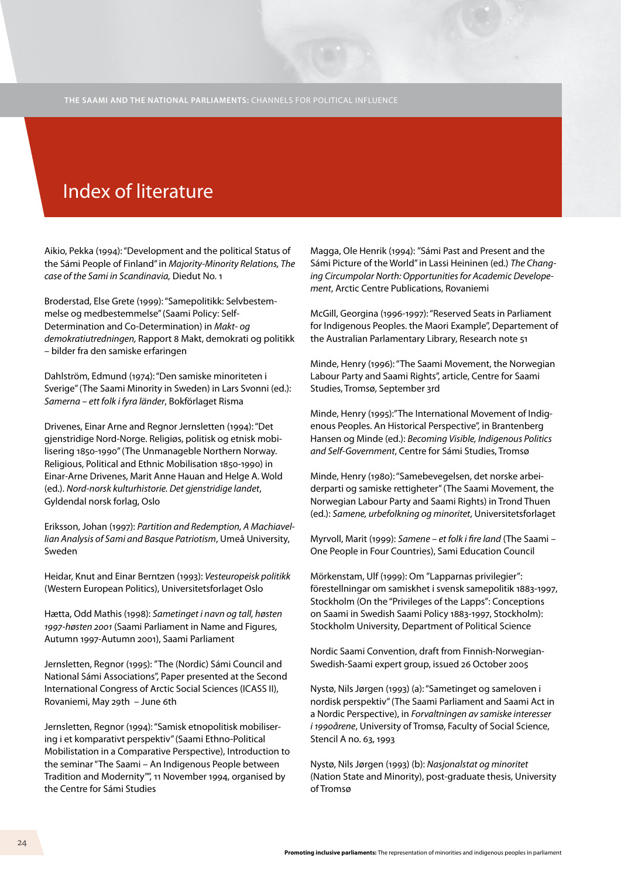# Index of literature

Aikio, Pekka (1994): "Development and the political Status of the Sámi People of Finland" in *Majority-Minority Relations, The case of the Sami in Scandinavia,* Diedut No. 1

Broderstad, Else Grete (1999): "Samepolitikk: Selvbestemmelse og medbestemmelse" (Saami Policy: Self-Determination and Co-Determination) in *Makt- og demokratiutredningen,* Rapport 8 Makt, demokrati og politikk – bilder fra den samiske erfaringen

Dahlström, Edmund (1974): "Den samiske minoriteten i Sverige" (The Saami Minority in Sweden) in Lars Svonni (ed.): *Samerna – ett folk i fyra länder*, Bokförlaget Risma

Drivenes, Einar Arne and Regnor Jernsletten (1994): "Det gjenstridige Nord-Norge. Religiøs, politisk og etnisk mobilisering 1850-1990" (The Unmanageble Northern Norway. Religious, Political and Ethnic Mobilisation 1850-1990) in Einar-Arne Drivenes, Marit Anne Hauan and Helge A. Wold (ed.). *Nord-norsk kulturhistorie. Det gjenstridige landet*, Gyldendal norsk forlag, Oslo

Eriksson, Johan (1997): *Partition and Redemption, A Machiavellian Analysis of Sami and Basque Patriotism*, Umeå University, Sweden

Heidar, Knut and Einar Berntzen (1993): *Vesteuropeisk politikk* (Western European Politics), Universitetsforlaget Oslo

Hætta, Odd Mathis (1998): *Sametinget i navn og tall, høsten 1997-høsten 2001* (Saami Parliament in Name and Figures, Autumn 1997-Autumn 2001), Saami Parliament

Jernsletten, Regnor (1995): "The (Nordic) Sámi Council and National Sámi Associations", Paper presented at the Second International Congress of Arctic Social Sciences (ICASS II), Rovaniemi, May 29th – June 6th

Jernsletten, Regnor (1994): "Samisk etnopolitisk mobilisering i et komparativt perspektiv" (Saami Ethno-Political Mobilistation in a Comparative Perspective), Introduction to the seminar "The Saami – An Indigenous People between Tradition and Modernity"", 11 November 1994, organised by the Centre for Sámi Studies

Magga, Ole Henrik (1994): "Sámi Past and Present and the Sámi Picture of the World" in Lassi Heininen (ed.) *The Changing Circumpolar North: Opportunities for Academic Developement*, Arctic Centre Publications, Rovaniemi

McGill, Georgina (1996-1997): "Reserved Seats in Parliament for Indigenous Peoples. the Maori Example", Departement of the Australian Parlamentary Library, Research note 51

Minde, Henry (1996): "The Saami Movement, the Norwegian Labour Party and Saami Rights", article, Centre for Saami Studies, Tromsø, September 3rd

Minde, Henry (1995):"The International Movement of Indigenous Peoples. An Historical Perspective", in Brantenberg Hansen og Minde (ed.): *Becoming Visible, Indigenous Politics and Self-Government*, Centre for Sámi Studies, Tromsø

Minde, Henry (1980): "Samebevegelsen, det norske arbeiderparti og samiske rettigheter" (The Saami Movement, the Norwegian Labour Party and Saami Rights) in Trond Thuen (ed.): *Samene, urbefolkning og minoritet*, Universitetsforlaget

Myrvoll, Marit (1999): *Samene – et folk i fire land* (The Saami – One People in Four Countries), Sami Education Council

Mörkenstam, Ulf (1999): Om "Lapparnas privilegier": förestellningar om samiskhet i svensk samepolitik 1883-1997, Stockholm (On the "Privileges of the Lapps": Conceptions on Saami in Swedish Saami Policy 1883-1997, Stockholm): Stockholm University, Department of Political Science

Nordic Saami Convention, draft from Finnish-Norwegian-Swedish-Saami expert group, issued 26 October 2005

Nystø, Nils Jørgen (1993) (a): "Sametinget og sameloven i nordisk perspektiv" (The Saami Parliament and Saami Act in a Nordic Perspective), in *Forvaltningen av samiske interesser i 1990årene*, University of Tromsø, Faculty of Social Science, Stencil A no. 63, 1993

Nystø, Nils Jørgen (1993) (b): *Nasjonalstat og minoritet* (Nation State and Minority), post-graduate thesis, University of Tromsø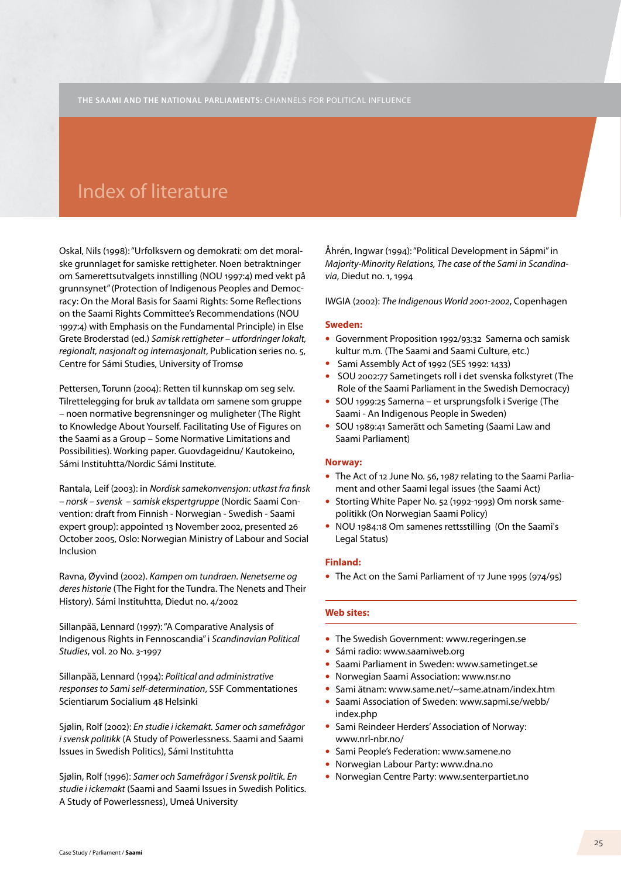### Index of literature

Oskal, Nils (1998): "Urfolksvern og demokrati: om det moralske grunnlaget for samiske rettigheter. Noen betraktninger om Samerettsutvalgets innstilling (NOU 1997:4) med vekt på grunnsynet" (Protection of Indigenous Peoples and Democracy: On the Moral Basis for Saami Rights: Some Reflections on the Saami Rights Committee's Recommendations (NOU 1997:4) with Emphasis on the Fundamental Principle) in Else Grete Broderstad (ed.) *Samisk rettigheter – utfordringer lokalt, regionalt, nasjonalt og internasjonalt*, Publication series no. 5, Centre for Sámi Studies, University of Tromsø

Pettersen, Torunn (2004): Retten til kunnskap om seg selv. Tilrettelegging for bruk av talldata om samene som gruppe – noen normative begrensninger og muligheter (The Right to Knowledge About Yourself. Facilitating Use of Figures on the Saami as a Group – Some Normative Limitations and Possibilities). Working paper. Guovdageidnu/ Kautokeino, Sámi Instituhtta/Nordic Sámi Institute.

Rantala, Leif (2003): in *Nordisk samekonvensjon: utkast fra finsk – norsk – svensk – samisk ekspertgruppe* (Nordic Saami Convention: draft from Finnish - Norwegian - Swedish - Saami expert group): appointed 13 November 2002, presented 26 October 2005, Oslo: Norwegian Ministry of Labour and Social Inclusion

Ravna, Øyvind (2002). *Kampen om tundraen. Nenetserne og deres historie* (The Fight for the Tundra. The Nenets and Their History). Sámi Instituhtta, Diedut no. 4/2002

Sillanpää, Lennard (1997): "A Comparative Analysis of Indigenous Rights in Fennoscandia" i *Scandinavian Political Studies*, vol. 20 No. 3-1997

Sillanpää, Lennard (1994): *Political and administrative responses to Sami self-determination*, SSF Commentationes Scientiarum Socialium 48 Helsinki

Sjølin, Rolf (2002): *En studie i ickemakt. Samer och samefrågor i svensk politikk* (A Study of Powerlessness. Saami and Saami Issues in Swedish Politics), Sámi Instituhtta

Sjølin, Rolf (1996): *Samer och Samefrågor i Svensk politik. En studie i ickemakt* (Saami and Saami Issues in Swedish Politics. A Study of Powerlessness), Umeå University

Åhrén, Ingwar (1994): "Political Development in Sápmi" in *Majority-Minority Relations, The case of the Sami in Scandinavia*, Diedut no. 1, 1994

IWGIA (2002): *The Indigenous World 2001-2002*, Copenhagen

#### **Sweden:**

- Government Proposition 1992/93:32 Samerna och samisk kultur m.m. (The Saami and Saami Culture, etc.)
- Sami Assembly Act of 1992 (SES 1992: 1433)
- SOU 2002:77 Sametingets roll i det svenska folkstyret (The Role of the Saami Parliament in the Swedish Democracy)
- SOU 1999:25 Samerna et ursprungsfolk i Sverige (The Saami - An Indigenous People in Sweden)
- SOU 1989:41 Samerätt och Sameting (Saami Law and Saami Parliament)

#### **Norway:**

- The Act of 12 June No. 56, 1987 relating to the Saami Parliament and other Saami legal issues (the Saami Act)
- Storting White Paper No. 52 (1992-1993) Om norsk samepolitikk (On Norwegian Saami Policy)
- NOU 1984:18 Om samenes rettsstilling (On the Saami's Legal Status)

#### **Finland:**

• The Act on the Sami Parliament of 17 June 1995 (974/95)

### **Web sites:**

- The Swedish Government: www.regeringen.se
- Sámi radio: www.saamiweb.org
- Saami Parliament in Sweden: www.sametinget.se
- Norwegian Saami Association: www.nsr.no
- Sami ätnam: www.same.net/~same.atnam/index.htm
- Saami Association of Sweden: www.sapmi.se/webb/ index.php
- Sami Reindeer Herders' Association of Norway: www.nrl-nbr.no/
- Sami People's Federation: www.samene.no
- Norwegian Labour Party: www.dna.no
- Norwegian Centre Party: www.senterpartiet.no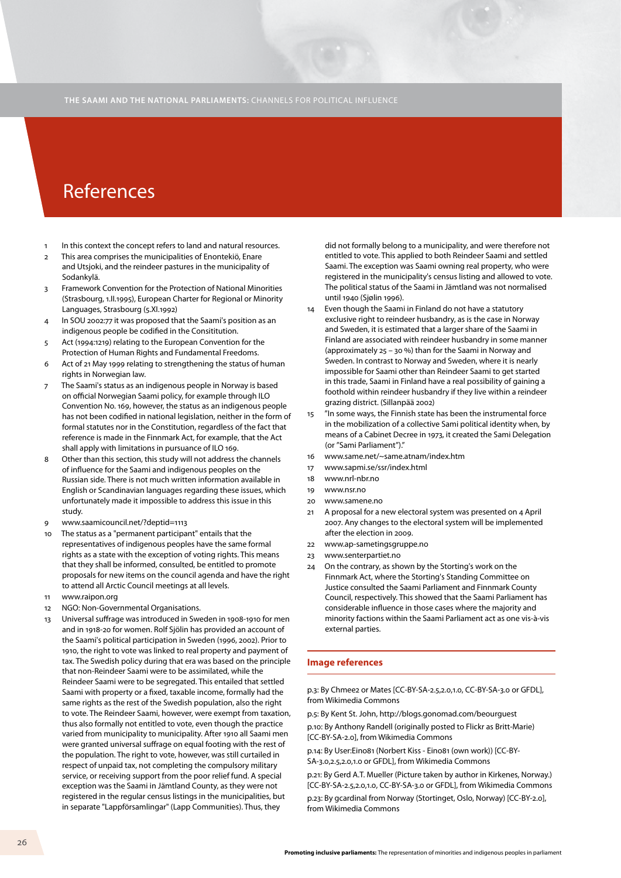### References

- In this context the concept refers to land and natural resources.
- 2 This area comprises the municipalities of Enontekiö, Enare and Utsjoki, and the reindeer pastures in the municipality of Sodankylä.
- 3 Framework Convention for the Protection of National Minorities (Strasbourg, 1.II.1995), European Charter for Regional or Minority Languages, Strasbourg (5.XI.1992)
- 4 In SOU 2002:77 it was proposed that the Saami's position as an indigenous people be codified in the Consititution.
- 5 Act (1994:1219) relating to the European Convention for the Protection of Human Rights and Fundamental Freedoms.
- 6 Act of 21 May 1999 relating to strengthening the status of human rights in Norwegian law.
- 7 The Saami's status as an indigenous people in Norway is based on official Norwegian Saami policy, for example through ILO Convention No. 169, however, the status as an indigenous people has not been codified in national legislation, neither in the form of formal statutes nor in the Constitution, regardless of the fact that reference is made in the Finnmark Act, for example, that the Act shall apply with limitations in pursuance of ILO 169.
- 8 Other than this section, this study will not address the channels of influence for the Saami and indigenous peoples on the Russian side. There is not much written information available in English or Scandinavian languages regarding these issues, which unfortunately made it impossible to address this issue in this study.
- 9 www.saamicouncil.net/?deptid=1113
- 10 The status as a "permanent participant" entails that the representatives of indigenous peoples have the same formal rights as a state with the exception of voting rights. This means that they shall be informed, consulted, be entitled to promote proposals for new items on the council agenda and have the right to attend all Arctic Council meetings at all levels.
- 11 www.raipon.org
- 12 NGO: Non-Governmental Organisations.
- 13 Universal suffrage was introduced in Sweden in 1908-1910 for men and in 1918-20 for women. Rolf Sjölin has provided an account of the Saami's political participation in Sweden (1996, 2002). Prior to 1910, the right to vote was linked to real property and payment of tax. The Swedish policy during that era was based on the principle that non-Reindeer Saami were to be assimilated, while the Reindeer Saami were to be segregated. This entailed that settled Saami with property or a fixed, taxable income, formally had the same rights as the rest of the Swedish population, also the right to vote. The Reindeer Saami, however, were exempt from taxation, thus also formally not entitled to vote, even though the practice varied from municipality to municipality. After 1910 all Saami men were granted universal suffrage on equal footing with the rest of the population. The right to vote, however, was still curtailed in respect of unpaid tax, not completing the compulsory military service, or receiving support from the poor relief fund. A special exception was the Saami in Jämtland County, as they were not registered in the regular census listings in the municipalities, but in separate "Lappförsamlingar" (Lapp Communities). Thus, they

did not formally belong to a municipality, and were therefore not entitled to vote. This applied to both Reindeer Saami and settled Saami. The exception was Saami owning real property, who were registered in the municipality's census listing and allowed to vote. The political status of the Saami in Jämtland was not normalised until 1940 (Sjølin 1996).

- 14 Even though the Saami in Finland do not have a statutory exclusive right to reindeer husbandry, as is the case in Norway and Sweden, it is estimated that a larger share of the Saami in Finland are associated with reindeer husbandry in some manner (approximately 25 – 30 %) than for the Saami in Norway and Sweden. In contrast to Norway and Sweden, where it is nearly impossible for Saami other than Reindeer Saami to get started in this trade, Saami in Finland have a real possibility of gaining a foothold within reindeer husbandry if they live within a reindeer grazing district. (Sillanpää 2002)
- 15 "In some ways, the Finnish state has been the instrumental force in the mobilization of a collective Sami political identity when, by means of a Cabinet Decree in 1973, it created the Sami Delegation (or "Sami Parliament")."
- 16 www.same.net/~same.atnam/index.htm
- 17 www.sapmi.se/ssr/index.html
- 18 www.nrl-nbr.no
- 19 www.nsr.no
- 20 www.samene.no
- 21 A proposal for a new electoral system was presented on 4 April 2007. Any changes to the electoral system will be implemented after the election in 2009.
- 22 www.ap-sametingsgruppe.no
- 23 www.senterpartiet.no
- 24 On the contrary, as shown by the Storting's work on the Finnmark Act, where the Storting's Standing Committee on Justice consulted the Saami Parliament and Finnmark County Council, respectively. This showed that the Saami Parliament has considerable influence in those cases where the majority and minority factions within the Saami Parliament act as one vis-à-vis external parties.

#### **Image references**

p.3: By Chmee2 or Mates [CC-BY-SA-2.5,2.0,1.0, CC-BY-SA-3.0 or GFDL], from Wikimedia Commons

p.5: By Kent St. John, http://blogs.gonomad.com/beourguest

p.10: By Anthony Randell (originally posted to Flickr as Britt-Marie) [CC-BY-SA-2.0], from Wikimedia Commons

p.14: By User:Eino81 (Norbert Kiss - Eino81 (own work)) [CC-BY-SA-3.0,2.5,2.0,1.0 or GFDL], from Wikimedia Commons

p.21: By Gerd A.T. Mueller (Picture taken by author in Kirkenes, Norway.) [CC-BY-SA-2.5,2.0,1.0, CC-BY-SA-3.0 or GFDL], from Wikimedia Commons

p.23: By gcardinal from Norway (Stortinget, Oslo, Norway) [CC-BY-2.0], from Wikimedia Commons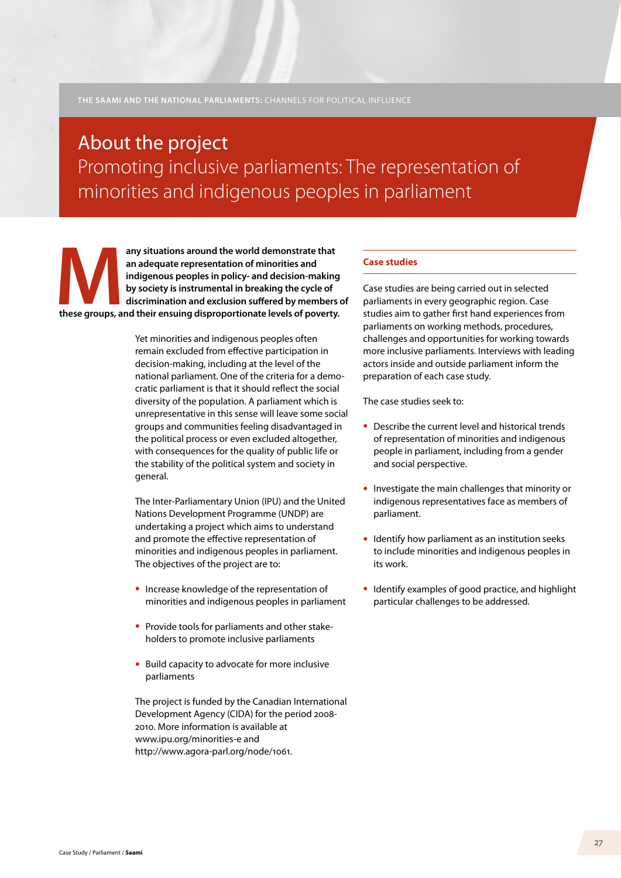# About the project Promoting inclusive parliaments: The representation of minorities and indigenous peoples in parliament

**these groups, and their ensuing disproportionate levels of poverty.**<br> **these groups, and their ensuing disproportionate levels of poverty.**<br> **these groups, and their ensuing disproportionate levels of poverty. an adequate representation of minorities and indigenous peoples in policy- and decision-making by society is instrumental in breaking the cycle of discrimination and exclusion suffered by members of** 

> Yet minorities and indigenous peoples often remain excluded from effective participation in decision-making, including at the level of the national parliament. One of the criteria for a democratic parliament is that it should reflect the social diversity of the population. A parliament which is unrepresentative in this sense will leave some social groups and communities feeling disadvantaged in the political process or even excluded altogether, with consequences for the quality of public life or the stability of the political system and society in general.

The Inter-Parliamentary Union (IPU) and the United Nations Development Programme (UNDP) are undertaking a project which aims to understand and promote the effective representation of minorities and indigenous peoples in parliament. The objectives of the project are to:

- Increase knowledge of the representation of minorities and indigenous peoples in parliament
- Provide tools for parliaments and other stakeholders to promote inclusive parliaments
- Build capacity to advocate for more inclusive parliaments

The project is funded by the Canadian International Development Agency (CIDA) for the period 2008- 2010. More information is available at www.ipu.org/minorities-e and http://www.agora-parl.org/node/1061.

### **Case studies**

Case studies are being carried out in selected parliaments in every geographic region. Case studies aim to gather first hand experiences from parliaments on working methods, procedures, challenges and opportunities for working towards more inclusive parliaments. Interviews with leading actors inside and outside parliament inform the preparation of each case study.

The case studies seek to:

- Describe the current level and historical trends of representation of minorities and indigenous people in parliament, including from a gender and social perspective.
- Investigate the main challenges that minority or indigenous representatives face as members of parliament.
- Identify how parliament as an institution seeks to include minorities and indigenous peoples in its work.
- Identify examples of good practice, and highlight particular challenges to be addressed.